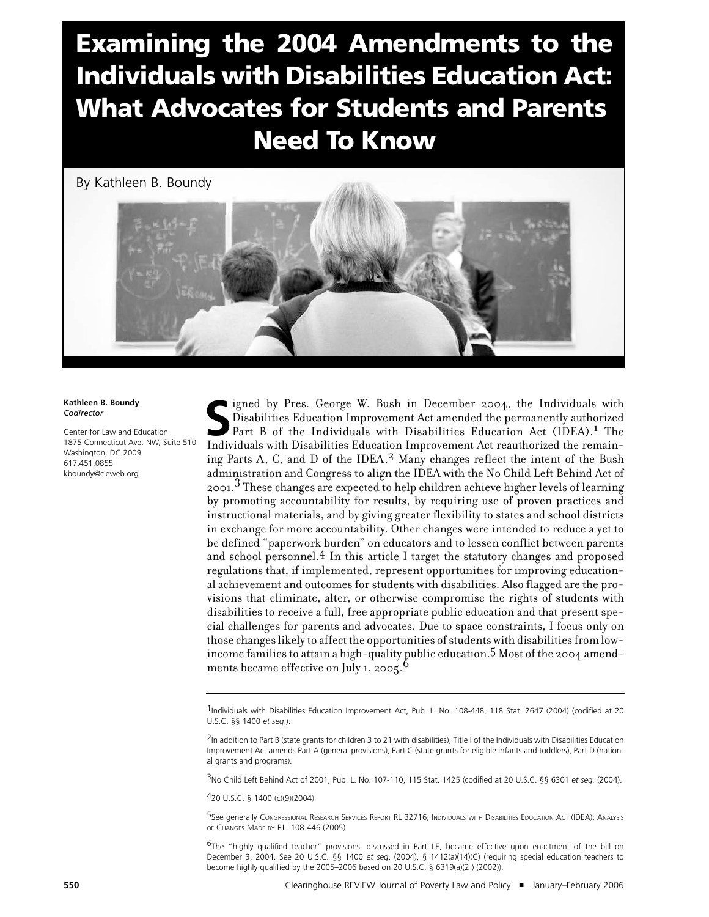# Examining the 2004 Amendments to the Individuals with Disabilities Education Act: What Advocates for Students and Parents Need To Know

By Kathleen B. Boundy



**Kathleen B. Boundy** *Codirector*

Center for Law and Education 1875 Connecticut Ave. NW, Suite 510 Washington, DC 2009 617.451.0855 kboundy@cleweb.org

Super Lignace W. Bush in December 2004, the Individuals with Disabilities Education Improvement Act amended the permanently authorized Part B of the Individuals with Disabilities Education Act (IDEA).<sup>1</sup> The Individuals wi igned by Pres. George W. Bush in December 2004, the Individuals with Disabilities Education Improvement Act amended the permanently authorized Part B of the Individuals with Disabilities Education Act (IDEA). 1 The ing Parts A, C, and D of the IDEA.<sup>2</sup> Many changes reflect the intent of the Bush administration and Congress to align the IDEA with the No Child Left Behind Act of 2001.3 These changes are expected to help children achieve higher levels of learning by promoting accountability for results, by requiring use of proven practices and instructional materials, and by giving greater flexibility to states and school districts in exchange for more accountability. Other changes were intended to reduce a yet to be defined "paperwork burden" on educators and to lessen conflict between parents and school personnel. $4 \text{ In this article I target the statutory changes and proposed}$ regulations that, if implemented, represent opportunities for improving educational achievement and outcomes for students with disabilities. Also flagged are the provisions that eliminate, alter, or otherwise compromise the rights of students with disabilities to receive a full, free appropriate public education and that present special challenges for parents and advocates. Due to space constraints, I focus only on those changes likely to affect the opportunities of students with disabilities from lowincome families to attain a high-quality public education. 5 Most of the 2004 amendments became effective on July 1, 2005.<sup>6</sup>

3No Child Left Behind Act of 2001, Pub. L. No. 107-110, 115 Stat. 1425 (codified at 20 U.S.C. §§ 6301 *et seq.* (2004).

420 U.S.C. § 1400 (c)(9)(2004).

5See generally CONGRESSIONAL RESEARCH SERVICES REPORT RL 32716, INDIVIDUALS WITH DISABILITIES EDUCATION ACT (IDEA): ANALYSIS OF CHANGES MADE BY P.L. 108-446 (2005).

<sup>6</sup>The "highly qualified teacher" provisions, discussed in Part I.E, became effective upon enactment of the bill on December 3, 2004. See 20 U.S.C*.* §§ 1400 *et seq*. (2004), § 1412(a)(14)(C) (requiring special education teachers to become highly qualified by the 2005–2006 based on 20 U.S.C. § 6319(a)(2 ) (2002)).

<sup>1</sup>Individuals with Disabilities Education Improvement Act, Pub. L. No. 108-448, 118 Stat. 2647 (2004) (codified at 20 U.S.C. §§ 1400 *et seq*.).

<sup>&</sup>lt;sup>2</sup>In addition to Part B (state grants for children 3 to 21 with disabilities), Title I of the Individuals with Disabilities Education Improvement Act amends Part A (general provisions), Part C (state grants for eligible infants and toddlers), Part D (national grants and programs).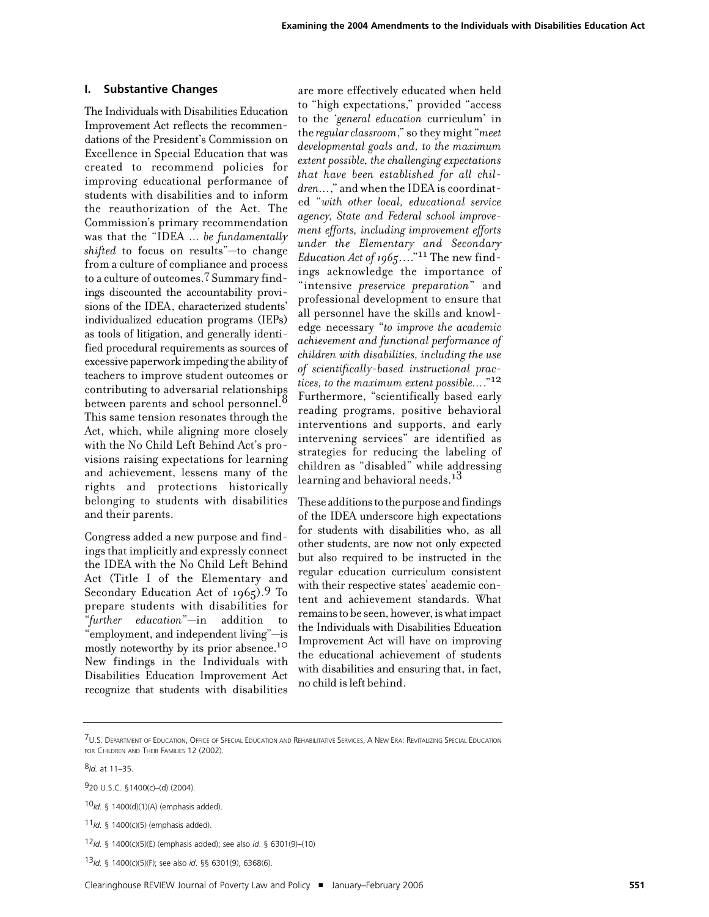## **I. Substantive Changes**

The Individuals with Disabilities Education Improvement Act reflects the recommendations of the President's Commission on Excellence in Special Education that was created to recommend policies for improving educational performance of students with disabilities and to inform the reauthorization of the Act. The Commission's primary recommendation was that the "IDEA ... *be fundamentally shifted* to focus on results"—to change from a culture of compliance and process to a culture of outcomes.7 Summary findings discounted the accountability provisions of the IDEA, characterized students' individualized education programs (IEPs) as tools of litigation, and generally identified procedural requirements as sources of excessive paperwork impeding the ability of teachers to improve student outcomes or contributing to adversarial relationships between parents and school personnel. $^8$ This same tension resonates through the Act, which, while aligning more closely with the No Child Left Behind Act's provisions raising expectations for learning and achievement, lessens many of the rights and protections historically belonging to students with disabilities and their parents.

Congress added a new purpose and findings that implicitly and expressly connect the IDEA with the No Child Left Behind Act (Title I of the Elementary and Secondary Education Act of 1965).<sup>9</sup> To prepare students with disabilities for "*further education*"—in addition to "employment, and independent living"—is mostly noteworthy by its prior absence.<sup>10</sup> New findings in the Individuals with Disabilities Education Improvement Act recognize that students with disabilities

are more effectively educated when held to "high expectations," provided "access to the '*general education* curriculum' in the *regular classroom*," so they might "*meet developmental goals and, to the maximum extent possible, the challenging expectations that have been established for all children…*," and when the IDEA is coordinated "*with other local, educational service agency, State and Federal school improvement efforts, including improvement efforts under the Elementary and Secondary Education Act of 1965*…."11 The new findings acknowledge the importance of "intensive *preservice preparation*" and professional development to ensure that all personnel have the skills and knowledge necessary "*to improve the academic achievement and functional performance of children with disabilities, including the use of scientifically-based instructional practices, to the maximum extent possible…*."12 Furthermore, "scientifically based early reading programs, positive behavioral interventions and supports, and early intervening services" are identified as strategies for reducing the labeling of children as "disabled" while addressing learning and behavioral needs.<sup>13</sup>

These additions to the purpose and findings of the IDEA underscore high expectations for students with disabilities who, as all other students, are now not only expected but also required to be instructed in the regular education curriculum consistent with their respective states' academic content and achievement standards. What remains to be seen, however, is what impact the Individuals with Disabilities Education Improvement Act will have on improving the educational achievement of students with disabilities and ensuring that, in fact, no child isleft behind.

11*Id.* § 1400(c)(5) (emphasis added).

<sup>7</sup>U.S. DEPARTMENT OF EDUCATION, OFFICE OF SPECIAL EDUCATION AND REHABILITATIVE SERVICES, A NEW ERA: REVITALIZING SPECIAL EDUCATION FOR CHILDREN AND THEIR FAMILIES 12 (2002).

<sup>8</sup>*Id.* at 11–35.

<sup>920</sup> U.S.C. §1400(c)–(d) (2004).

<sup>10</sup>*Id.* § 1400(d)(1)(A) (emphasis added).

<sup>12</sup>*Id.* § 1400(c)(5)(E) (emphasis added); see also *id*. § 6301(9)–(10)

<sup>13</sup>*Id.* § 1400(c)(5)(F); see also *id*. §§ 6301(9), 6368(6).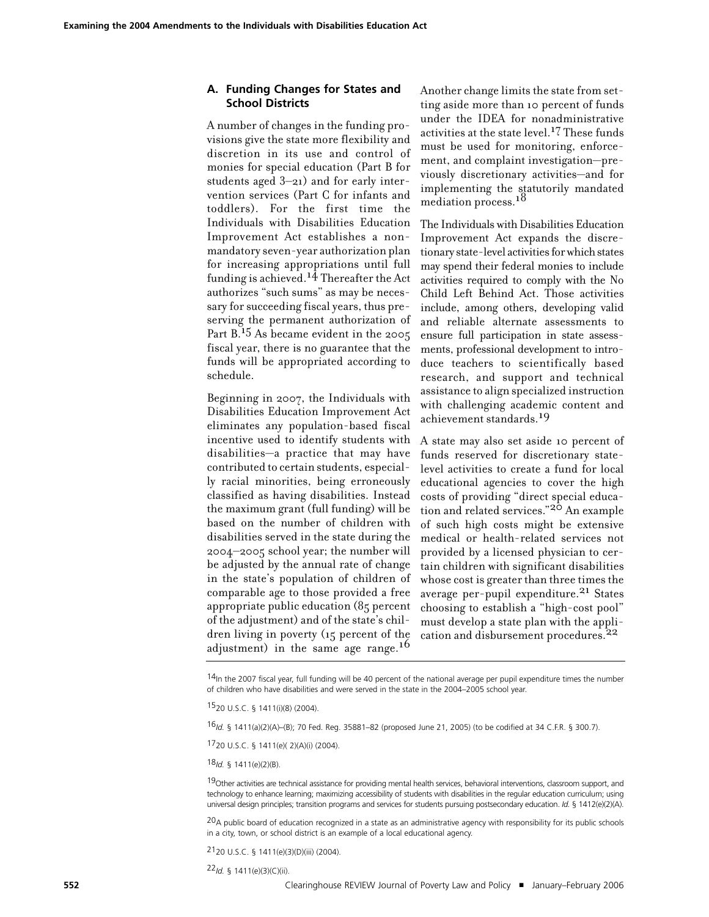## **A. Funding Changes for States and School Districts**

A number of changes in the funding provisions give the state more flexibility and discretion in its use and control of monies for special education (Part B for students aged 3–21) and for early intervention services (Part C for infants and toddlers). For the first time the Individuals with Disabilities Education Improvement Act establishes a nonmandatory seven-year authorization plan for increasing appropriations until full funding is achieved. 14 Thereafter the Act authorizes "such sums" as may be necessary for succeeding fiscal years, thus preserving the permanent authorization of Part  $B<sup>15</sup>$  As became evident in the 2005 fiscal year, there is no guarantee that the funds will be appropriated according to schedule.

Beginning in 2007, the Individuals with Disabilities Education Improvement Act eliminates any population-based fiscal incentive used to identify students with disabilities—a practice that may have contributed to certain students, especially racial minorities, being erroneously classified as having disabilities. Instead the maximum grant (full funding) will be based on the number of children with disabilities served in the state during the 2004–2005 school year; the number will be adjusted by the annual rate of change in the state's population of children of comparable age to those provided a free appropriate public education (85 percent of the adjustment) and of the state's children living in poverty (15 percent of the adjustment) in the same age range.<sup>16</sup>

Another change limits the state from setting aside more than 10 percent of funds under the IDEA for nonadministrative activities at the state level.17 These funds must be used for monitoring, enforcement, and complaint investigation—previously discretionary activities—and for implementing the statutorily mandated mediation process.<sup>18</sup>

The Individuals with Disabilities Education Improvement Act expands the discretionary state-level activities for which states may spend their federal monies to include activities required to comply with the No Child Left Behind Act. Those activities include, among others, developing valid and reliable alternate assessments to ensure full participation in state assessments, professional development to introduce teachers to scientifically based research, and support and technical assistance to align specialized instruction with challenging academic content and achievement standards.19

A state may also set aside 10 percent of funds reserved for discretionary statelevel activities to create a fund for local educational agencies to cover the high costs of providing "direct special education and related services."<sup>20</sup> An example of such high costs might be extensive medical or health-related services not provided by a licensed physician to certain children with significant disabilities whose cost is greater than three times the average per-pupil expenditure.<sup>21</sup> States choosing to establish a "high-cost pool" must develop a state plan with the application and disbursement procedures.<sup>22</sup>

 $14$ In the 2007 fiscal year, full funding will be 40 percent of the national average per pupil expenditure times the number of children who have disabilities and were served in the state in the 2004–2005 school year.

1520 U.S.C. § 1411(i)(8) (2004).

16*Id.* § 1411(a)(2)(A)–(B); 70 Fed. Reg. 35881–82 (proposed June 21, 2005) (to be codified at 34 C.F.R. § 300.7).

1720 U.S.C. § 1411(e)( 2)(A)(i) (2004).

18*Id.* § 1411(e)(2)(B).

19Other activities are technical assistance for providing mental health services, behavioral interventions, classroom support, and technology to enhance learning; maximizing accessibility of students with disabilities in the regular education curriculum; using universal design principles; transition programs and services for students pursuing postsecondary education. *Id.* § 1412(e)(2)(A).

 $20A$  public board of education recognized in a state as an administrative agency with responsibility for its public schools in a city, town, or school district is an example of a local educational agency.

2120 U.S.C. § 1411(e)(3)(D)(iii) (2004).

22*Id.* § 1411(e)(3)(C)(ii).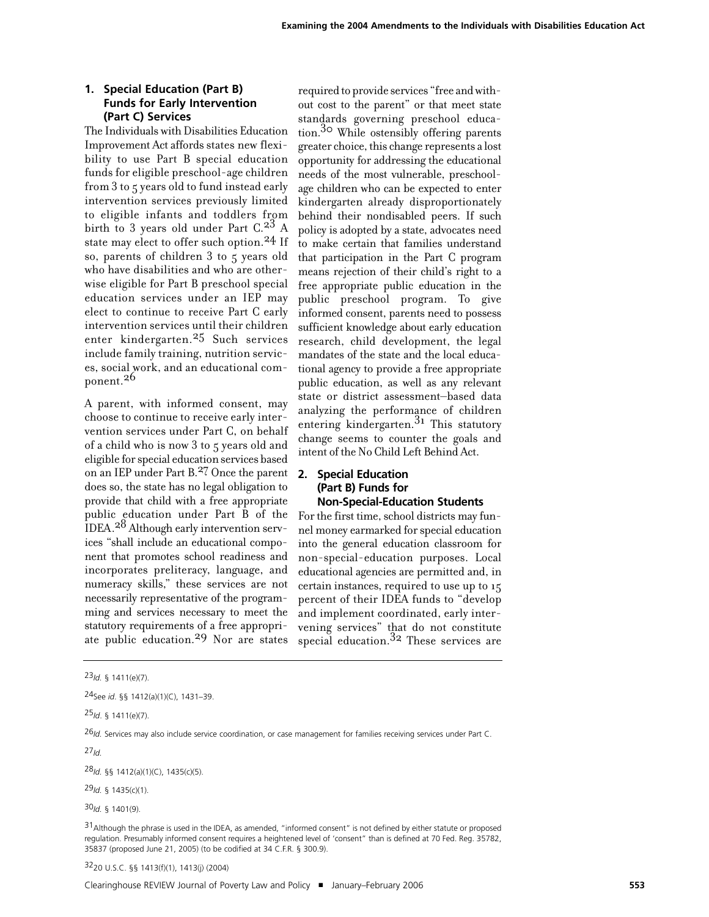# **1. Special Education (Part B) Funds for Early Intervention (Part C) Services**

The Individuals with Disabilities Education Improvement Act affords states new flexibility to use Part B special education funds for eligible preschool-age children from 3 to 5 years old to fund instead early intervention services previously limited to eligible infants and toddlers from birth to 3 years old under Part C.<sup>23</sup> A state may elect to offer such option.<sup>24</sup> If so, parents of children 3 to 5 years old who have disabilities and who are otherwise eligible for Part B preschool special education services under an IEP may elect to continue to receive Part C early intervention services until their children enter kindergarten.<sup>25</sup> Such services include family training, nutrition services, social work, and an educational component. 26

A parent, with informed consent, may choose to continue to receive early intervention services under Part C, on behalf of a child who is now 3 to 5 years old and eligible forspecial education services based on an IEP under Part B. 27 Once the parent does so, the state has no legal obligation to provide that child with a free appropriate public education under Part B of the IDEA.<sup>28</sup> Although early intervention services "shall include an educational component that promotes school readiness and incorporates preliteracy, language, and numeracy skills," these services are not necessarily representative of the programming and services necessary to meet the statutory requirements of a free appropriate public education. 29 Nor are states

required to provide services "free and without cost to the parent" or that meet state standards governing preschool education. 30 While ostensibly offering parents greater choice, this change represents a lost opportunity for addressing the educational needs of the most vulnerable, preschoolage children who can be expected to enter kindergarten already disproportionately behind their nondisabled peers. If such policy is adopted by a state, advocates need to make certain that families understand that participation in the Part C program means rejection of their child's right to a free appropriate public education in the public preschool program. To give informed consent, parents need to possess sufficient knowledge about early education research, child development, the legal mandates of the state and the local educational agency to provide a free appropriate public education, as well as any relevant state or district assessment–based data analyzing the performance of children entering kindergarten. 31 This statutory change seems to counter the goals and intent of the No Child Left Behind Act.

## **2. Special Education (Part B) Funds for Non-Special-Education Students**

For the first time, school districts may funnel money earmarked for special education into the general education classroom for non-special-education purposes. Local educational agencies are permitted and, in certain instances, required to use up to 15 percent of their IDEA funds to "develop and implement coordinated, early intervening services" that do not constitute special education. 32 These services are

25*Id*. § 1411(e)(7).

27*Id.*

28*Id.* §§ 1412(a)(1)(C), 1435(c)(5).

30*Id.* § 1401(9).

3220 U.S.C. §§ 1413(f)(1), 1413(j) (2004)

<sup>23</sup>*Id.* § 1411(e)(7).

<sup>24</sup>See *id*. §§ 1412(a)(1)(C), 1431–39.

<sup>26</sup>*Id.* Services may also include service coordination, or case management for families receiving services under Part C.

<sup>29</sup>*Id.* § 1435(c)(1).

 $31$ Although the phrase is used in the IDEA, as amended, "informed consent" is not defined by either statute or proposed regulation. Presumably informed consent requires a heightened level of 'consent" than is defined at 70 Fed. Reg. 35782, 35837 (proposed June 21, 2005) (to be codified at 34 C.F.R. § 300.9).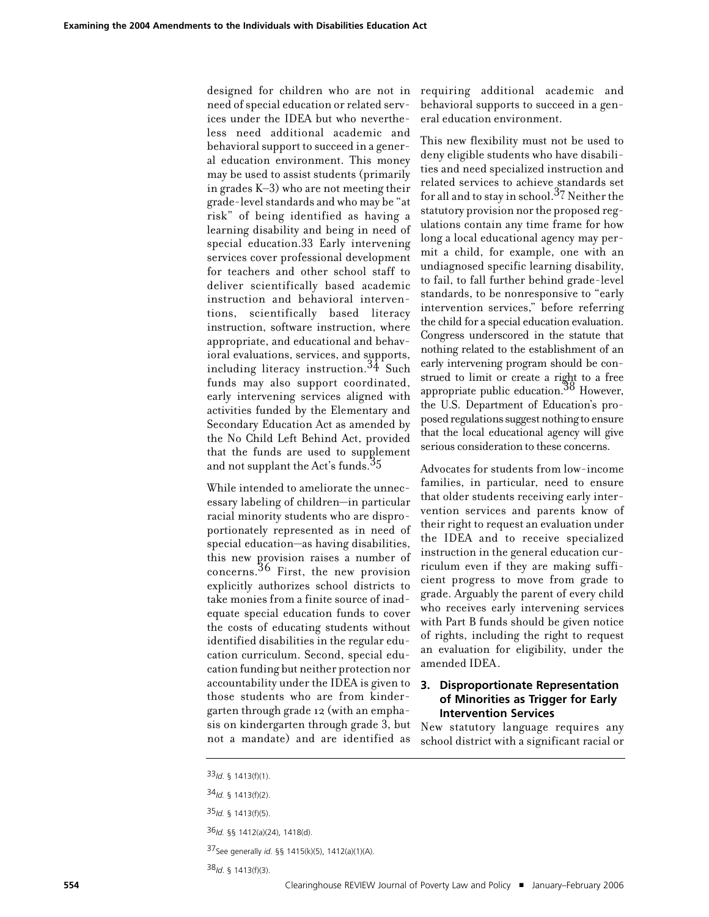designed for children who are not in need of special education or related services under the IDEA but who nevertheless need additional academic and behavioral support to succeed in a general education environment. This money may be used to assist students (primarily in grades K–3) who are not meeting their grade-level standards and who may be "at risk" of being identified as having a learning disability and being in need of special education.33 Early intervening services cover professional development for teachers and other school staff to deliver scientifically based academic instruction and behavioral interventions, scientifically based literacy instruction, software instruction, where appropriate, and educational and behavioral evaluations, services, and supports, including literacy instruction. 34 Such funds may also support coordinated, early intervening services aligned with activities funded by the Elementary and Secondary Education Act as amended by the No Child Left Behind Act, provided that the funds are used to supplement and not supplant the Act's funds.<sup>35</sup>

While intended to ameliorate the unnecessary labeling of children—in particular racial minority students who are disproportionately represented as in need of special education—as having disabilities, this new provision raises a number of concerns. 36 First, the new provision explicitly authorizes school districts to take monies from a finite source of inadequate special education funds to cover the costs of educating students without identified disabilities in the regular education curriculum. Second, special education funding but neither protection nor accountability under the IDEA is given to those students who are from kindergarten through grade 12 (with an emphasis on kindergarten through grade 3, but not a mandate) and are identified as

requiring additional academic and behavioral supports to succeed in a general education environment.

This new flexibility must not be used to deny eligible students who have disabilities and need specialized instruction and related services to achieve standards set for all and to stay in school.<sup>37</sup> Neither the statutory provision nor the proposed regulations contain any time frame for how long a local educational agency may permit a child, for example, one with an undiagnosed specific learning disability, to fail, to fall further behind grade-level standards, to be nonresponsive to "early intervention services," before referring the child for a special education evaluation. Congress underscored in the statute that nothing related to the establishment of an early intervening program should be construed to limit or create a right to a free appropriate public education. 38 However, the U.S. Department of Education's proposed regulations suggest nothing to ensure that the local educational agency will give serious consideration to these concerns.

Advocates for students from low-income families, in particular, need to ensure that older students receiving early intervention services and parents know of their right to request an evaluation under the IDEA and to receive specialized instruction in the general education curriculum even if they are making sufficient progress to move from grade to grade. Arguably the parent of every child who receives early intervening services with Part B funds should be given notice of rights, including the right to request an evaluation for eligibility, under the amended IDEA.

## **3. Disproportionate Representation of Minorities as Trigger for Early Intervention Services**

New statutory language requires any school district with a significant racial or

37See generally *id*. §§ 1415(k)(5), 1412(a)(1)(A).

38*Id*. § 1413(f)(3).

<sup>33</sup>*Id*. § 1413(f)(1).

<sup>34</sup>*Id.* § 1413(f)(2).

<sup>35</sup>*Id.* § 1413(f)(5).

<sup>36</sup>*Id.* §§ 1412(a)(24), 1418(d).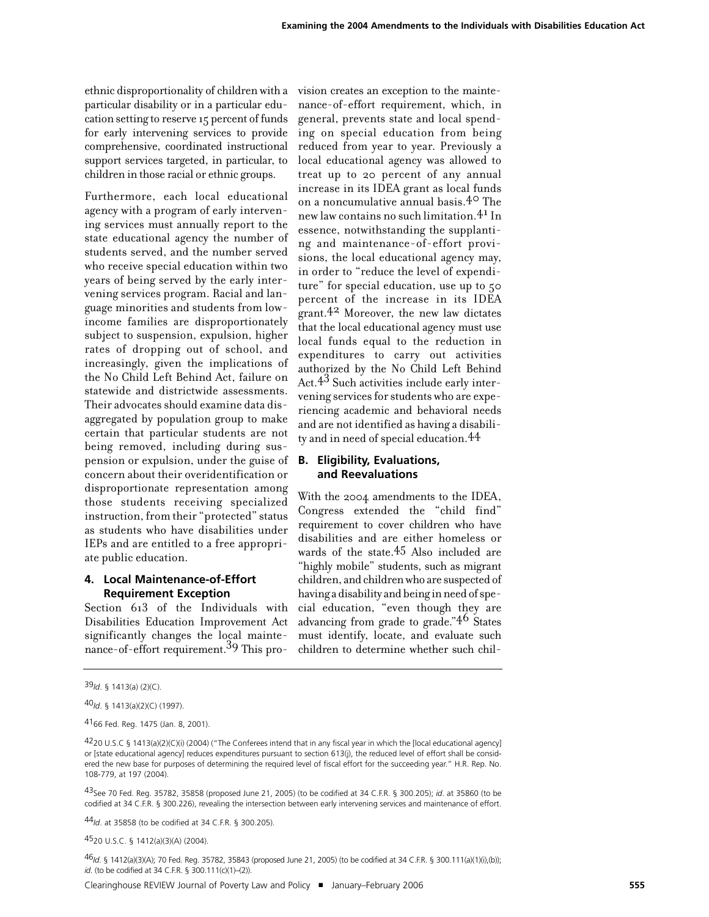ethnic disproportionality of children with a particular disability or in a particular education setting to reserve 15 percent of funds for early intervening services to provide comprehensive, coordinated instructional support services targeted, in particular, to children in those racial or ethnic groups.

Furthermore, each local educational agency with a program of early intervening services must annually report to the state educational agency the number of students served, and the number served who receive special education within two years of being served by the early intervening services program. Racial and language minorities and students from lowincome families are disproportionately subject to suspension, expulsion, higher rates of dropping out of school, and increasingly, given the implications of the No Child Left Behind Act, failure on statewide and districtwide assessments. Their advocates should examine data disaggregated by population group to make certain that particular students are not being removed, including during suspension or expulsion, under the guise of concern about their overidentification or disproportionate representation among those students receiving specialized instruction, from their "protected" status as students who have disabilities under IEPs and are entitled to a free appropriate public education.

## **4. Local Maintenance-of-Effort Requirement Exception**

Section 613 of the Individuals with Disabilities Education Improvement Act significantly changes the local maintenance-of-effort requirement. 39 This provision creates an exception to the maintenance-of-effort requirement, which, in general, prevents state and local spending on special education from being reduced from year to year. Previously a local educational agency was allowed to treat up to 20 percent of any annual increase in its IDEA grant as local funds on a noncumulative annual basis.40 The new law contains no such limitation.<sup>41</sup> In essence, notwithstanding the supplanting and maintenance-of-effort provisions, the local educational agency may, in order to "reduce the level of expenditure" for special education, use up to 50 percent of the increase in its IDEA grant. 42 Moreover, the new law dictates that the local educational agency must use local funds equal to the reduction in expenditures to carry out activities authorized by the No Child Left Behind Act. 43 Such activities include early intervening services for students who are experiencing academic and behavioral needs and are not identified as having a disabili $t$ y and in need of special education. $44$ 

## **B. Eligibility, Evaluations, and Reevaluations**

With the 2004 amendments to the IDEA, Congress extended the "child find" requirement to cover children who have disabilities and are either homeless or wards of the state.<sup>45</sup> Also included are "highly mobile" students, such as migrant children, and childrenwho are suspected of having a disability and being in need of special education, "even though they are advancing from grade to grade."46 States must identify, locate, and evaluate such children to determine whether such chil-

4520 U.S.C. § 1412(a)(3)(A) (2004).

46*Id*. § 1412(a)(3)(A); 70 Fed. Reg. 35782, 35843 (proposed June 21, 2005) (to be codified at 34 C.F.R. § 300.111(a)(1)(i),(b)); *id*. (to be codified at 34 C.F.R. § 300.111(c)(1)–(2)).

Clearinghouse REVIEW Journal of Poverty Law and Policy ! January–February 2006 **555**

<sup>39</sup>*Id*. § 1413(a) (2)(C).

<sup>40</sup>*Id*. § 1413(a)(2)(C) (1997).

<sup>4166</sup> Fed. Reg. 1475 (Jan. 8, 2001).

 $4220$  U.S.C § 1413(a)(2)(C)(i) (2004) ("The Conferees intend that in any fiscal year in which the [local educational agency] or [state educational agency] reduces expenditures pursuant to section 613(j), the reduced level of effort shall be considered the new base for purposes of determining the required level of fiscal effort for the succeeding year." H.R. Rep. No. 108-779, at 197 (2004).

<sup>43</sup>See 70 Fed. Reg. 35782, 35858 (proposed June 21, 2005) (to be codified at 34 C.F.R. § 300.205); *id*. at 35860 (to be codified at 34 C.F.R. § 300.226), revealing the intersection between early intervening services and maintenance of effort.

<sup>44</sup>*Id*. at 35858 (to be codified at 34 C.F.R. § 300.205).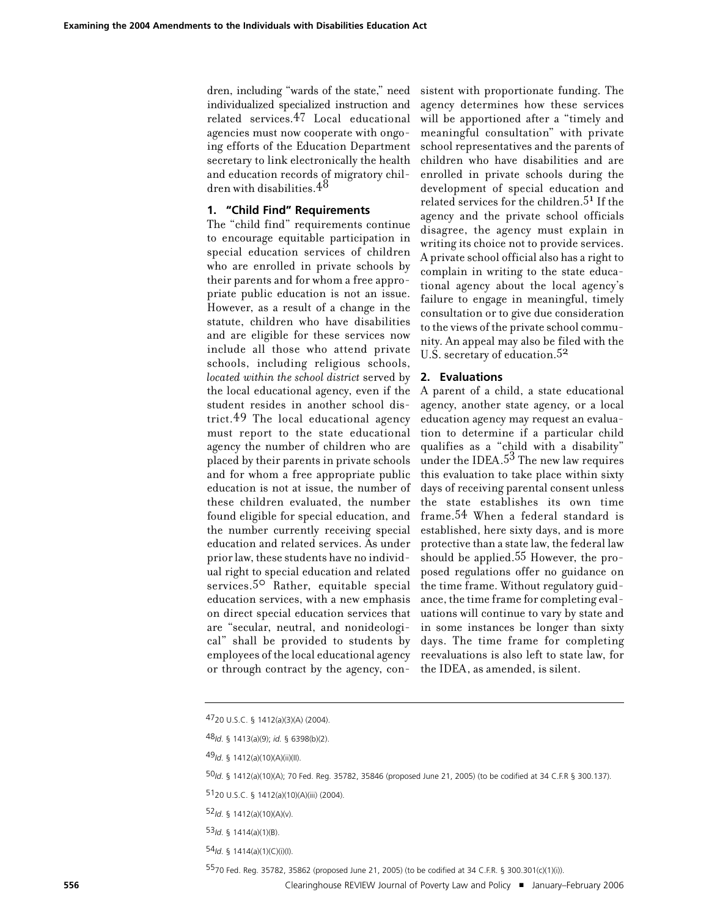dren, including "wards of the state," need individualized specialized instruction and related services.47 Local educational agencies must now cooperate with ongoing efforts of the Education Department secretary to link electronically the health and education records of migratory children with disabilities. $4^8$ 

# **1. "Child Find" Requirements**

The "child find" requirements continue to encourage equitable participation in special education services of children who are enrolled in private schools by their parents and for whom a free appropriate public education is not an issue. However, as a result of a change in the statute, children who have disabilities and are eligible for these services now include all those who attend private schools, including religious schools, *located within the school district* served by the local educational agency, even if the student resides in another school district. 49 The local educational agency must report to the state educational agency the number of children who are placed by their parents in private schools and for whom a free appropriate public education is not at issue, the number of these children evaluated, the number found eligible for special education, and the number currently receiving special education and related services. As under prior law, these students have no individual right to special education and related services.<sup>50</sup> Rather, equitable special education services, with a new emphasis on direct special education services that are "secular, neutral, and nonideological" shall be provided to students by employees of the local educational agency or through contract by the agency, con-

sistent with proportionate funding. The agency determines how these services will be apportioned after a "timely and meaningful consultation" with private school representatives and the parents of children who have disabilities and are enrolled in private schools during the development of special education and related services for the children. 51 If the agency and the private school officials disagree, the agency must explain in writing its choice not to provide services. A private school official also has a right to complain in writing to the state educational agency about the local agency's failure to engage in meaningful, timely consultation or to give due consideration to the views of the private school community. An appeal may also be filed with the U.S. secretary of education.<sup>52</sup>

#### **2. Evaluations**

A parent of a child, a state educational agency, another state agency, or a local education agency may request an evaluation to determine if a particular child qualifies as a "child with a disability" under the IDEA. $5^3$  The new law requires this evaluation to take place within sixty days of receiving parental consent unless the state establishes its own time frame. 54 When a federal standard is established, here sixty days, and is more protective than a state law, the federal law should be applied. 55 However, the proposed regulations offer no guidance on the time frame. Without regulatory guidance, the time frame for completing evaluations will continue to vary by state and in some instances be longer than sixty days. The time frame for completing reevaluations is also left to state law, for the IDEA, as amended, is silent.

5570 Fed. Reg. 35782, 35862 (proposed June 21, 2005) (to be codified at 34 C.F.R. § 300.301(c)(1)(i)).

**556** Clearinghouse REVIEW Journal of Poverty Law and Policy ■ January–February 2006

<sup>4720</sup> U.S.C. § 1412(a)(3)(A) (2004).

<sup>48</sup>*Id*. § 1413(a)(9); *id.* § 6398(b)(2).

<sup>49</sup>*Id*. § 1412(a)(10)(A)(ii)(II).

<sup>50</sup>*Id*. § 1412(a)(10)(A); 70 Fed. Reg. 35782, 35846 (proposed June 21, 2005) (to be codified at 34 C.F.R § 300.137).

<sup>5120</sup> U.S.C. § 1412(a)(10)(A)(iii) (2004).

<sup>52</sup>*Id*. § 1412(a)(10)(A)(v).

<sup>53</sup>*Id*. § 1414(a)(1)(B).

<sup>54</sup>*Id*. § 1414(a)(1)(C)(i)(I).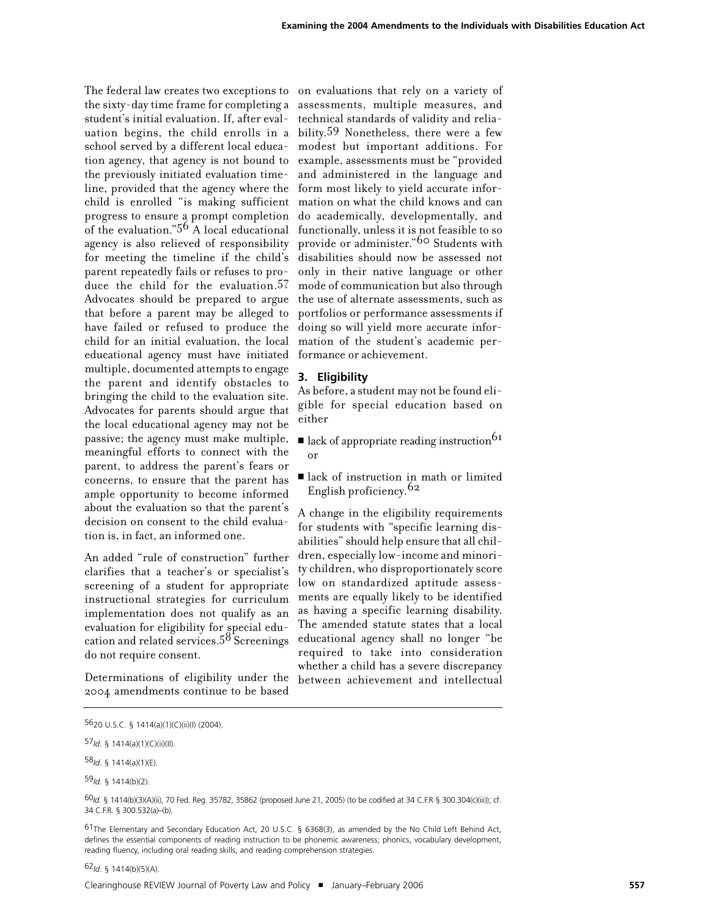The federal law creates two exceptions to on evaluations that rely on a variety of the sixty-day time frame for completing a assessments, multiple measures, and student's initial evaluation. If, after eval-technical standards of validity and reliauation begins, the child enrolls in a bility. 59 Nonetheless, there were a few school served by a different local educa-modest but important additions. For tion agency, that agency is not bound to example, assessments must be "provided the previously initiated evaluation time-and administered in the language and line, provided that the agency where the form most likely to yield accurate inforchild is enrolled "is making sufficient mation on what the child knows and can progress to ensure a prompt completion do academically, developmentally, and of the evaluation." $5^6$  A local educational functionally, unless it is not feasible to so agency is also relieved of responsibility for meeting the timeline if the child's disabilities should now be assessed not parent repeatedly fails or refuses to produce the child for the evaluation.<sup>57</sup> Advocates should be prepared to argue that before a parent may be alleged to have failed or refused to produce the child for an initial evaluation, the local educational agency must have initiated multiple, documented attempts to engage the parent and identify obstacles to bringing the child to the evaluation site. Advocates for parents should argue that the local educational agency may not be passive; the agency must make multiple, meaningful efforts to connect with the parent, to address the parent's fears or concerns, to ensure that the parent has ample opportunity to become informed about the evaluation so that the parent's decision on consent to the child evaluation is, in fact, an informed one.

An added "rule of construction" further clarifies that a teacher's or specialist's screening of a student for appropriate instructional strategies for curriculum implementation does not qualify as an evaluation for eligibility for special education and related services.<sup>58</sup> Screenings do not require consent.

Determinations of eligibility under the 2004 amendments continue to be based

provide or administer."60 Students with only in their native language or other mode of communication but also through the use of alternate assessments, such as portfolios or performance assessments if doing so will yield more accurate information of the student's academic performance or achievement.

## **3. Eligibility**

As before, a student may not be found eligible for special education based on either

- lack of appropriate reading instruction<sup>61</sup> or
- ! lack of instruction in math or limited English proficiency.<sup>62</sup>

A change in the eligibility requirements for students with "specific learning disabilities" should help ensure that all children, especially low-income and minority children, who disproportionately score low on standardized aptitude assessments are equally likely to be identified as having a specific learning disability. The amended statute states that a local educational agency shall no longer "be required to take into consideration whether a child has a severe discrepancy between achievement and intellectual

<sup>5620</sup> U.S.C. § 1414(a)(1)(C)(ii)(I) (2004).

<sup>57</sup>*Id*. § 1414(a)(1)(C)(ii)(II).

<sup>58</sup>*Id.* § 1414(a)(1)(E).

<sup>59</sup>*Id.* § 1414(b)(2).

<sup>60</sup>*Id*. § 1414(b)(3)(A)(ii), 70 Fed. Reg. 35782, 35862 (proposed June 21, 2005) (to be codified at 34 C.F.R § 300.304(c)(iii)); cf. 34 C.F.R. § 300.532(a)–(b).

 $61$ The Elementary and Secondary Education Act, 20 U.S.C. § 6368(3), as amended by the No Child Left Behind Act, defines the essential components of reading instruction to be phonemic awareness; phonics, vocabulary development, reading fluency, including oral reading skills, and reading comprehension strategies.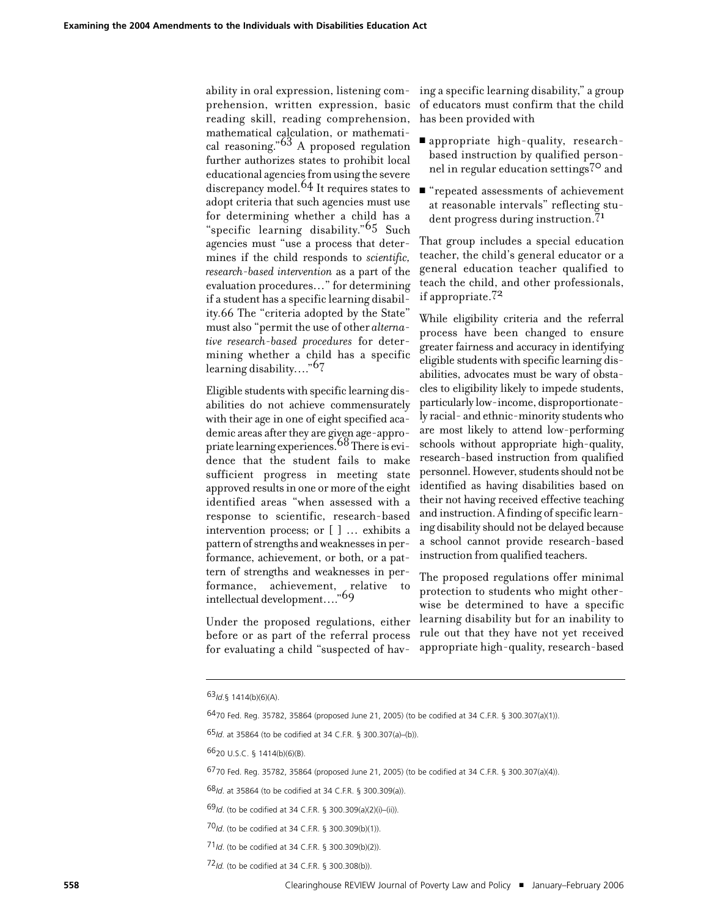ability in oral expression, listening comprehension, written expression, basic reading skill, reading comprehension, mathematical calculation, or mathematical reasoning."63 A proposed regulation further authorizes states to prohibit local educational agenciesfromusing the severe discrepancy model. 64 It requires states to adopt criteria that such agencies must use for determining whether a child has a "specific learning disability."65 Such agencies must "use a process that determines if the child responds to *scientific, research-based intervention* as a part of the evaluation procedures…" for determining if a student has a specific learning disability.66 The "criteria adopted by the State" must also "permit the use of other *alternative research-based procedures* for determining whether a child has a specific learning disability…."67

Eligible students with specific learning disabilities do not achieve commensurately with their age in one of eight specified academic areas after they are given age-appropriate learning experiences. 68There is evidence that the student fails to make sufficient progress in meeting state approved results in one or more of the eight identified areas "when assessed with a response to scientific, research-based intervention process; or [ ] … exhibits a pattern of strengths and weaknesses in performance, achievement, or both, or a pattern of strengths and weaknesses in performance, achievement, relative to intellectual development…."69

Under the proposed regulations, either before or as part of the referral process for evaluating a child "suspected of hav-

ing a specific learning disability," a group of educators must confirm that the child has been provided with

- **E** appropriate high-quality, researchbased instruction by qualified personnel in regular education settings<sup>70</sup> and
- ! "repeated assessments of achievement at reasonable intervals" reflecting student progress during instruction.<sup>71</sup>

That group includes a special education teacher, the child's general educator or a general education teacher qualified to teach the child, and other professionals, if appropriate.72

While eligibility criteria and the referral process have been changed to ensure greater fairness and accuracy in identifying eligible students with specific learning disabilities, advocates must be wary of obstacles to eligibility likely to impede students, particularly low-income, disproportionately racial- and ethnic-minority studentswho are most likely to attend low-performing schools without appropriate high-quality, research-based instruction from qualified personnel. However, students should not be identified as having disabilities based on their not having received effective teaching and instruction. A finding of specific learning disability should not be delayed because a school cannot provide research-based instruction from qualified teachers.

The proposed regulations offer minimal protection to students who might otherwise be determined to have a specific learning disability but for an inability to rule out that they have not yet received appropriate high-quality, research-based

6470 Fed. Reg. 35782, 35864 (proposed June 21, 2005) (to be codified at 34 C.F.R. § 300.307(a)(1)).

<sup>63</sup>*Id*.§ 1414(b)(6)(A).

<sup>65</sup>*Id*. at 35864 (to be codified at 34 C.F.R. § 300.307(a)–(b)).

<sup>6620</sup> U.S.C. § 1414(b)(6)(B).

<sup>6770</sup> Fed. Reg. 35782, 35864 (proposed June 21, 2005) (to be codified at 34 C.F.R. § 300.307(a)(4)).

<sup>68</sup>*Id*. at 35864 (to be codified at 34 C.F.R. § 300.309(a)).

<sup>69</sup>*Id*. (to be codified at 34 C.F.R. § 300.309(a)(2)(i)–(ii)).

<sup>70</sup>*Id*. (to be codified at 34 C.F.R. § 300.309(b)(1)).

<sup>71</sup>*Id*. (to be codified at 34 C.F.R. § 300.309(b)(2)).

<sup>72</sup>*Id.* (to be codified at 34 C.F.R. § 300.308(b)).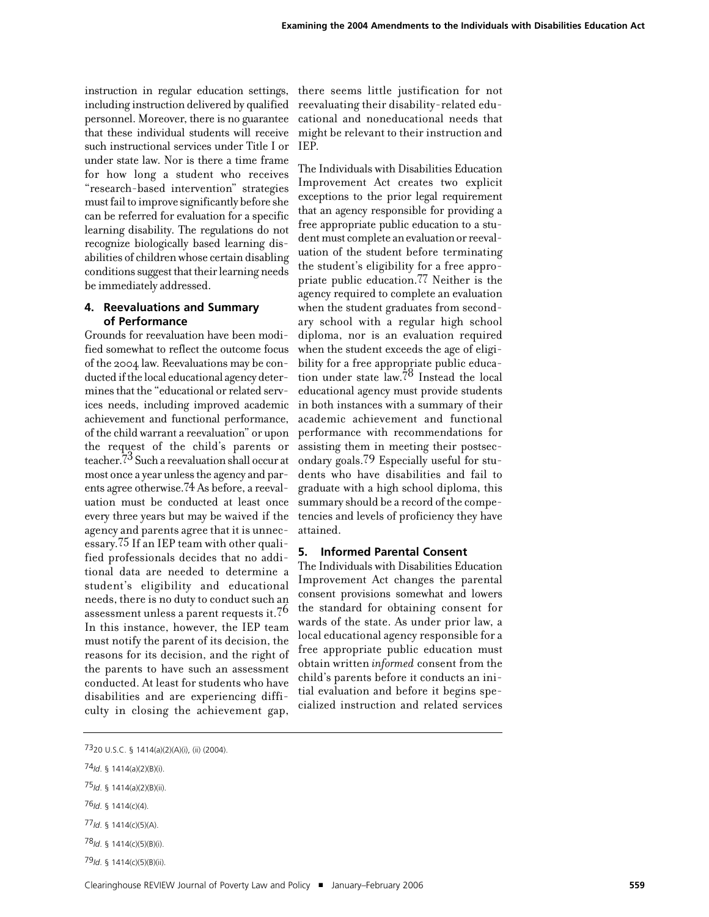instruction in regular education settings, including instruction delivered by qualified personnel. Moreover, there is no guarantee that these individual students will receive such instructional services under Title I or under state law. Nor is there a time frame for how long a student who receives "research-based intervention" strategies must fail to improve significantly before she can be referred for evaluation for a specific learning disability. The regulations do not recognize biologically based learning disabilities of childrenwhose certain disabling conditions suggest that their learning needs be immediately addressed.

## **4. Reevaluations and Summary of Performance**

Grounds for reevaluation have been modified somewhat to reflect the outcome focus of the 2004 law. Reevaluations may be conducted if the local educational agency determines that the "educational or related services needs, including improved academic achievement and functional performance, of the child warrant a reevaluation" or upon the request of the child's parents or teacher. 73 Such a reevaluation shall occur at most once a year unlessthe agency and parents agree otherwise. 74 As before, a reevaluation must be conducted at least once every three years but may be waived if the agency and parents agree that it is unnecessary. 75 If an IEP team with other qualified professionals decides that no additional data are needed to determine a student's eligibility and educational needs, there is no duty to conduct such an assessment unless a parent requests it. 76 In this instance, however, the IEP team must notify the parent of its decision, the reasons for its decision, and the right of the parents to have such an assessment conducted. At least for students who have disabilities and are experiencing difficulty in closing the achievement gap,

there seems little justification for not reevaluating their disability-related educational and noneducational needs that might be relevant to their instruction and IEP.

The Individuals with Disabilities Education Improvement Act creates two explicit exceptions to the prior legal requirement that an agency responsible for providing a free appropriate public education to a student must complete an evaluation or reevaluation of the student before terminating the student's eligibility for a free appropriate public education. 77 Neither is the agency required to complete an evaluation when the student graduates from secondary school with a regular high school diploma, nor is an evaluation required when the student exceeds the age of eligibility for a free appropriate public education under state  $\text{law}$ .<sup>78</sup> Instead the local educational agency must provide students in both instances with a summary of their academic achievement and functional performance with recommendations for assisting them in meeting their postsecondary goals. 79 Especially useful for students who have disabilities and fail to graduate with a high school diploma, this summary should be a record of the competencies and levels of proficiency they have attained.

#### **5. Informed Parental Consent**

The Individuals with Disabilities Education Improvement Act changes the parental consent provisions somewhat and lowers the standard for obtaining consent for wards of the state. As under prior law, a local educational agency responsible for a free appropriate public education must obtain written *informed* consent from the child's parents before it conducts an initial evaluation and before it begins specialized instruction and related services

76*Id*. § 1414(c)(4).

<sup>7320</sup> U.S.C. § 1414(a)(2)(A)(i), (ii) (2004).

<sup>74</sup>*Id*. § 1414(a)(2)(B)(i).

<sup>75</sup>*Id*. § 1414(a)(2)(B)(ii).

<sup>77</sup>*Id*. § 1414(c)(5)(A).

<sup>78</sup>*Id*. § 1414(c)(5)(B)(i).

<sup>79</sup>*Id*. § 1414(c)(5)(B)(ii).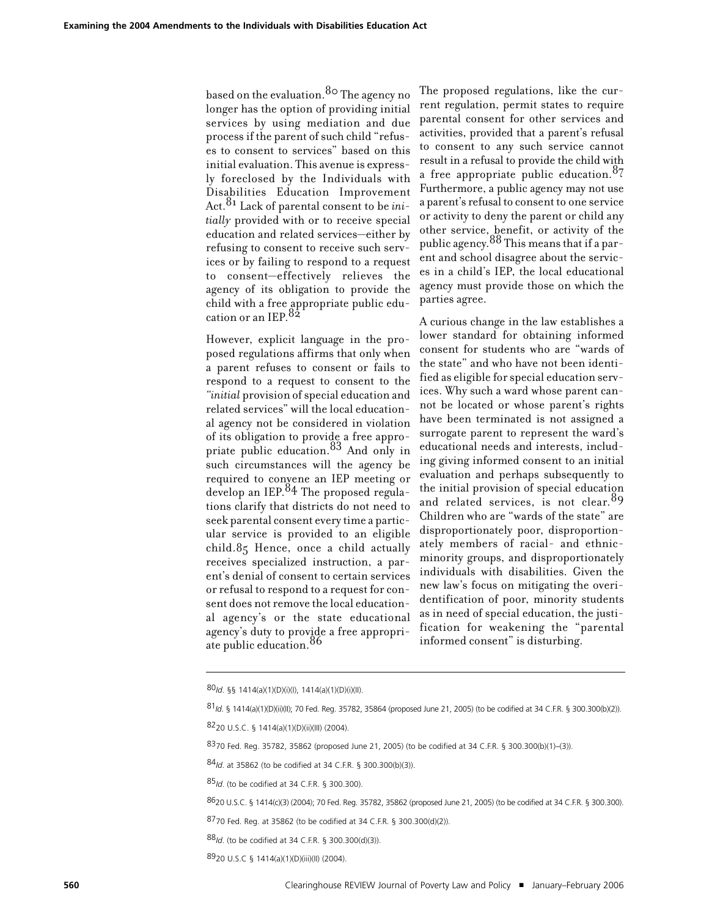based on the evaluation. 80 The agency no longer has the option of providing initial services by using mediation and due process if the parent of such child "refuses to consent to services" based on this initial evaluation. This avenue is expressly foreclosed by the Individuals with Disabilities Education Improvement Act. 81 Lack of parental consent to be *initially* provided with or to receive special education and related services—either by refusing to consent to receive such services or by failing to respond to a request to consent—effectively relieves the agency of its obligation to provide the child with a free appropriate public education or an IEP.  $82$ 

However, explicit language in the proposed regulations affirms that only when a parent refuses to consent or fails to respond to a request to consent to the "*initial* provision of special education and related services" will the local educational agency not be considered in violation of its obligation to provide a free appropriate public education.<sup>83</sup> And only in such circumstances will the agency be required to convene an IEP meeting or develop an IEP. 84 The proposed regulations clarify that districts do not need to seek parental consent every time a particular service is provided to an eligible child.85 Hence, once a child actually receives specialized instruction, a parent's denial of consent to certain services or refusal to respond to a request for consent does not remove the local educational agency's or the state educational agency's duty to provide a free appropriate public education.  $86$ 

The proposed regulations, like the current regulation, permit states to require parental consent for other services and activities, provided that a parent's refusal to consent to any such service cannot result in a refusal to provide the child with a free appropriate public education.<sup>87</sup> Furthermore, a public agency may not use a parent's refusal to consent to one service or activity to deny the parent or child any other service, benefit, or activity of the public agency. $\mathrm{^{88}}$  This means that if a parent and school disagree about the services in a child's IEP, the local educational agency must provide those on which the parties agree.

A curious change in the law establishes a lower standard for obtaining informed consent for students who are "wards of the state" and who have not been identified as eligible for special education services. Why such a ward whose parent cannot be located or whose parent's rights have been terminated is not assigned a surrogate parent to represent the ward's educational needs and interests, including giving informed consent to an initial evaluation and perhaps subsequently to the initial provision of special education and related services, is not clear.  $89$ Children who are "wards of the state" are disproportionately poor, disproportionately members of racial- and ethnicminority groups, and disproportionately individuals with disabilities. Given the new law's focus on mitigating the overidentification of poor, minority students as in need of special education, the justification for weakening the "parental informed consent" is disturbing.

<sup>80</sup>*Id*. §§ 1414(a)(1)(D)(i)(I), 1414(a)(1)(D)(i)(II).

<sup>81</sup>*Id*. § 1414(a)(1)(D)(ii)(II); 70 Fed. Reg. 35782, 35864 (proposed June 21, 2005) (to be codified at 34 C.F.R. § 300.300(b)(2)).

<sup>8220</sup> U.S.C. § 1414(a)(1)(D)(ii)(III) (2004).

<sup>8370</sup> Fed. Reg. 35782, 35862 (proposed June 21, 2005) (to be codified at 34 C.F.R. § 300.300(b)(1)–(3)).

<sup>84</sup>*Id*. at 35862 (to be codified at 34 C.F.R. § 300.300(b)(3)).

<sup>85</sup>*Id*. (to be codified at 34 C.F.R. § 300.300).

<sup>8620</sup> U.S.C. § 1414(c)(3) (2004); 70 Fed. Reg. 35782, 35862 (proposed June 21, 2005) (to be codified at 34 C.F.R. § 300.300).

<sup>8770</sup> Fed. Reg. at 35862 (to be codified at 34 C.F.R. § 300.300(d)(2)).

<sup>88</sup>*Id*. (to be codified at 34 C.F.R. § 300.300(d)(3)).

<sup>8920</sup> U.S.C § 1414(a)(1)(D)(iii)(II) (2004).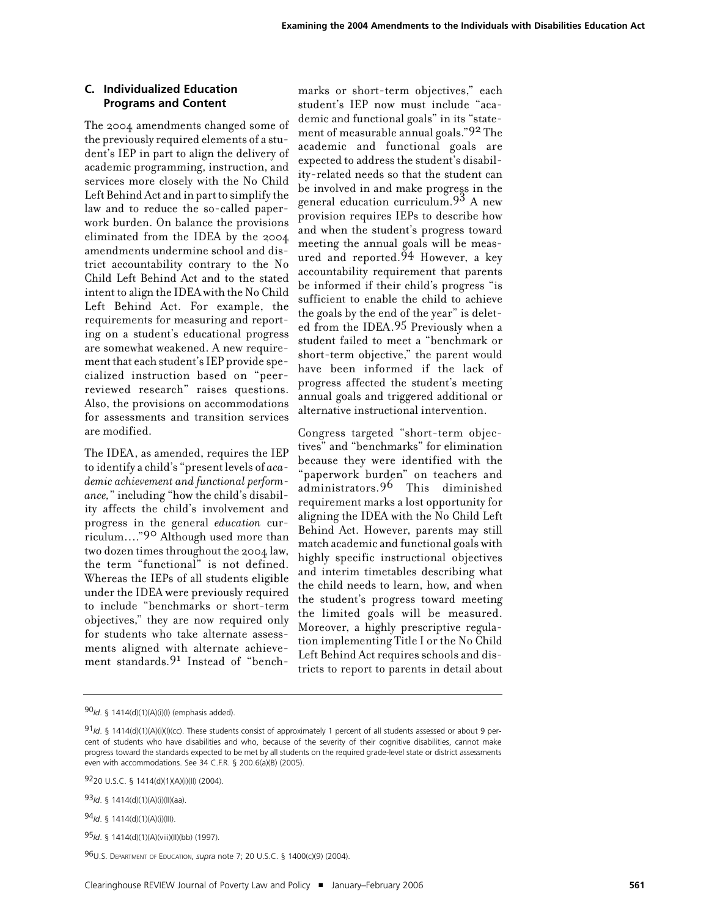## **C. Individualized Education Programs and Content**

The 2004 amendments changed some of the previously required elements of a student's IEP in part to align the delivery of academic programming, instruction, and services more closely with the No Child Left Behind Act and in part to simplify the law and to reduce the so-called paperwork burden. On balance the provisions eliminated from the IDEA by the 2004 amendments undermine school and district accountability contrary to the No Child Left Behind Act and to the stated intent to align the IDEA with the No Child Left Behind Act. For example, the requirements for measuring and reporting on a student's educational progress are somewhat weakened. A new requirement that each student's IEP provide specialized instruction based on "peerreviewed research" raises questions. Also, the provisions on accommodations for assessments and transition services are modified.

The IDEA, as amended, requires the IEP to identify a child's "present levels of *academic achievement and functional performance,*" including "how the child's disability affects the child's involvement and progress in the general *education* curriculum…."90 Although used more than two dozen times throughout the 2004 law, the term "functional" is not defined. Whereas the IEPs of all students eligible under the IDEA were previously required to include "benchmarks or short-term objectives," they are now required only for students who take alternate assessments aligned with alternate achievement standards. 91 Instead of "bench-

marks or short-term objectives," each student's IEP now must include "academic and functional goals" in its "statement of measurable annual goals."92 The academic and functional goals are expected to address the student's disability-related needs so that the student can be involved in and make progress in the general education curriculum. 93 A new provision requires IEPs to describe how and when the student's progress toward meeting the annual goals will be measured and reported. 94 However, a key accountability requirement that parents be informed if their child's progress "is sufficient to enable the child to achieve the goals by the end of the year" is deleted from the IDEA. 95 Previously when a student failed to meet a "benchmark or short-term objective," the parent would have been informed if the lack of progress affected the student's meeting annual goals and triggered additional or alternative instructional intervention.

Congress targeted "short-term objectives" and "benchmarks" for elimination because they were identified with the "paperwork burden" on teachers and administrators. 96 This diminished requirement marks a lost opportunity for aligning the IDEA with the No Child Left Behind Act. However, parents may still match academic and functional goals with highly specific instructional objectives and interim timetables describing what the child needs to learn, how, and when the student's progress toward meeting the limited goals will be measured. Moreover, a highly prescriptive regulation implementing Title I or the No Child Left Behind Act requires schools and districts to report to parents in detail about

<sup>90</sup>*Id*. § 1414(d)(1)(A)(i)(I) (emphasis added).

<sup>91&</sup>lt;sub>/d.</sub> § 1414(d)(1)(A)(i)(l)(cc). These students consist of approximately 1 percent of all students assessed or about 9 percent of students who have disabilities and who, because of the severity of their cognitive disabilities, cannot make progress toward the standards expected to be met by all students on the required grade-level state or district assessments even with accommodations. See 34 C.F.R. § 200.6(a)(B) (2005).

<sup>9220</sup> U.S.C. § 1414(d)(1)(A)(i)(II) (2004).

<sup>93</sup>*Id*. § 1414(d)(1)(A)(i)(II)(aa).

<sup>94</sup>*Id*. § 1414(d)(1)(A)(i)(III).

<sup>95</sup>*Id*. § 1414(d)(1)(A)(viii)(II)(bb) (1997).

<sup>96</sup>U.S. DEPARTMENT OF EDUCATION, *supra* note 7; 20 U.S.C. § 1400(c)(9) (2004).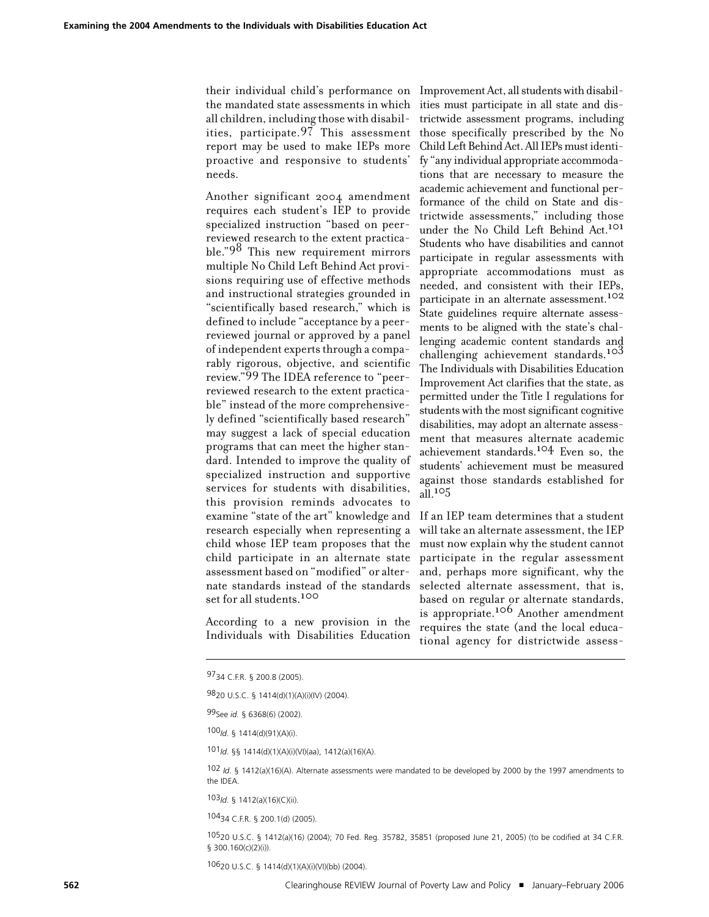their individual child's performance on the mandated state assessments in which all children, including those with disabilities, participate. 97 This assessment report may be used to make IEPs more proactive and responsive to students' needs.

Another significant 2004 amendment requires each student's IEP to provide specialized instruction "based on peerreviewed research to the extent practicable."98 This new requirement mirrors multiple No Child Left Behind Act provisions requiring use of effective methods and instructional strategies grounded in "scientifically based research," which is defined to include "acceptance by a peerreviewed journal or approved by a panel of independent experts through a comparably rigorous, objective, and scientific review."99 The IDEA reference to "peerreviewed research to the extent practicable" instead of the more comprehensively defined "scientifically based research" may suggest a lack of special education programs that can meet the higher standard. Intended to improve the quality of specialized instruction and supportive services for students with disabilities, this provision reminds advocates to examine "state of the art" knowledge and research especially when representing a child whose IEP team proposes that the child participate in an alternate state assessment based on "modified" or alternate standards instead of the standards set for all students.100

According to a new provision in the Individuals with Disabilities Education

Improvement Act, all students with disabilities must participate in all state and districtwide assessment programs, including those specifically prescribed by the No Child Left Behind Act. All IEPs must identify "any individual appropriate accommodations that are necessary to measure the academic achievement and functional performance of the child on State and districtwide assessments," including those under the No Child Left Behind Act. 101 Students who have disabilities and cannot participate in regular assessments with appropriate accommodations must as needed, and consistent with their IEPs, participate in an alternate assessment.<sup>102</sup> State guidelines require alternate assessments to be aligned with the state's challenging academic content standards and challenging achievement standards.<sup>103</sup> The Individuals with Disabilities Education Improvement Act clarifies that the state, as permitted under the Title I regulations for students with the mostsignificant cognitive disabilities, may adopt an alternate assessment that measures alternate academic achievement standards. 104 Even so, the students' achievement must be measured against those standards established for all. $105$ 

If an IEP team determines that a student will take an alternate assessment, the IEP must now explain why the student cannot participate in the regular assessment and, perhaps more significant, why the selected alternate assessment, that is, based on regular or alternate standards, is appropriate.106 Another amendment requires the state (and the local educational agency for districtwide assess-

100*Id*. § 1414(d)(91)(A)(i).

101*Id*. §§ 1414(d)(1)(A)(i)(VI)(aa), 1412(a)(16)(A).

102 *Id*. § 1412(a)(16)(A). Alternate assessments were mandated to be developed by 2000 by the 1997 amendments to the IDEA.

103*Id*. § 1412(a)(16)(C)(ii).

10434 C.F.R. § 200.1(d) (2005).

10520 U.S.C. § 1412(a)(16) (2004); 70 Fed. Reg. 35782, 35851 (proposed June 21, 2005) (to be codified at 34 C.F.R. § 300.160(c)(2)(i)).

10620 U.S.C. § 1414(d)(1)(A)(i)(VI)(bb) (2004).

<sup>9734</sup> C.F.R. § 200.8 (2005).

<sup>9820</sup> U.S.C. § 1414(d)(1)(A)(i)(IV) (2004).

<sup>99</sup>See *id.* § 6368(6) (2002).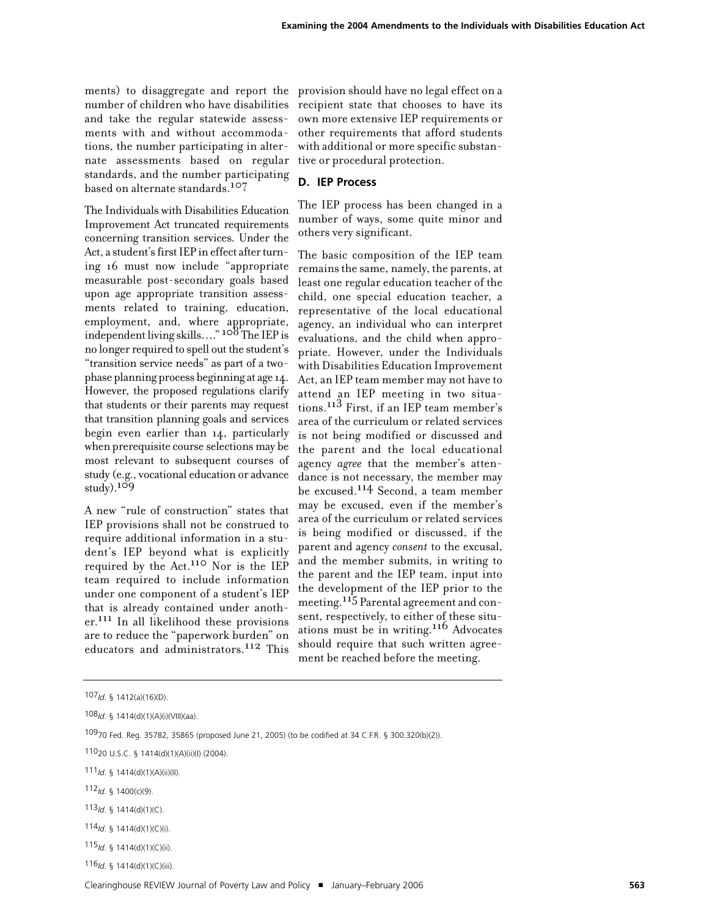ments) to disaggregate and report the provision should have no legal effect on a number of children who have disabilities and take the regular statewide assessments with and without accommodations, the number participating in alternate assessments based on regular standards, and the number participating based on alternate standards.107

The Individuals with Disabilities Education Improvement Act truncated requirements concerning transition services. Under the Act, a student's first IEP in effect after turning 16 must now include "appropriate measurable post-secondary goals based upon age appropriate transition assessments related to training, education, employment, and, where appropriate, independentliving skills…." 108 The IEP is no longer required to spell out the student's "transition service needs" as part of a twophase planning process beginning at age 14. However, the proposed regulations clarify that students or their parents may request that transition planning goals and services begin even earlier than 14, particularly when prerequisite course selections may be most relevant to subsequent courses of study (e.g., vocational education or advance  $study)$ <sup>109</sup>

A new "rule of construction" states that IEP provisions shall not be construed to require additional information in a student's IEP beyond what is explicitly required by the Act. 110 Nor is the IEP team required to include information under one component of a student's IEP that is already contained under another.<sup>111</sup> In all likelihood these provisions are to reduce the "paperwork burden" on educators and administrators. 112 This

recipient state that chooses to have its own more extensive IEP requirements or other requirements that afford students with additional or more specific substantive or procedural protection.

## **D. IEP Process**

The IEP process has been changed in a number of ways, some quite minor and others very significant.

The basic composition of the IEP team remains the same, namely, the parents, at least one regular education teacher of the child, one special education teacher, a representative of the local educational agency, an individual who can interpret evaluations, and the child when appropriate. However, under the Individuals with Disabilities Education Improvement Act, an IEP team member may not have to attend an IEP meeting in two situations.113 First, if an IEP team member's area of the curriculum or related services is not being modified or discussed and the parent and the local educational agency *agree* that the member's attendance is not necessary, the member may be excused.<sup>114</sup> Second, a team member may be excused, even if the member's area of the curriculum or related services is being modified or discussed, if the parent and agency *consent* to the excusal, and the member submits, in writing to the parent and the IEP team, input into the development of the IEP prior to the meeting.115 Parental agreement and consent, respectively, to either of these situations must be in writing.116 Advocates should require that such written agreement be reached before the meeting.

112*Id*. § 1400(c)(9).

116*Id*. § 1414(d)(1)(C)(iii).

<sup>107</sup>*Id*. § 1412(a)(16)(D).

<sup>108</sup>*Id*. § 1414(d)(1)(A)(i)(VIII)(aa).

<sup>10970</sup> Fed. Reg. 35782, 35865 (proposed June 21, 2005) (to be codified at 34 C.F.R. § 300.320(b)(2)).

<sup>11020</sup> U.S.C. § 1414(d)(1)(A)(ii)(I) (2004).

<sup>111</sup>*Id*. § 1414(d)(1)(A)(ii)(II).

<sup>113</sup>*Id*. § 1414(d)(1)(C).

<sup>114</sup>*Id*. § 1414(d)(1)(C)(i).

<sup>115</sup>*Id*. § 1414(d)(1)(C)(ii).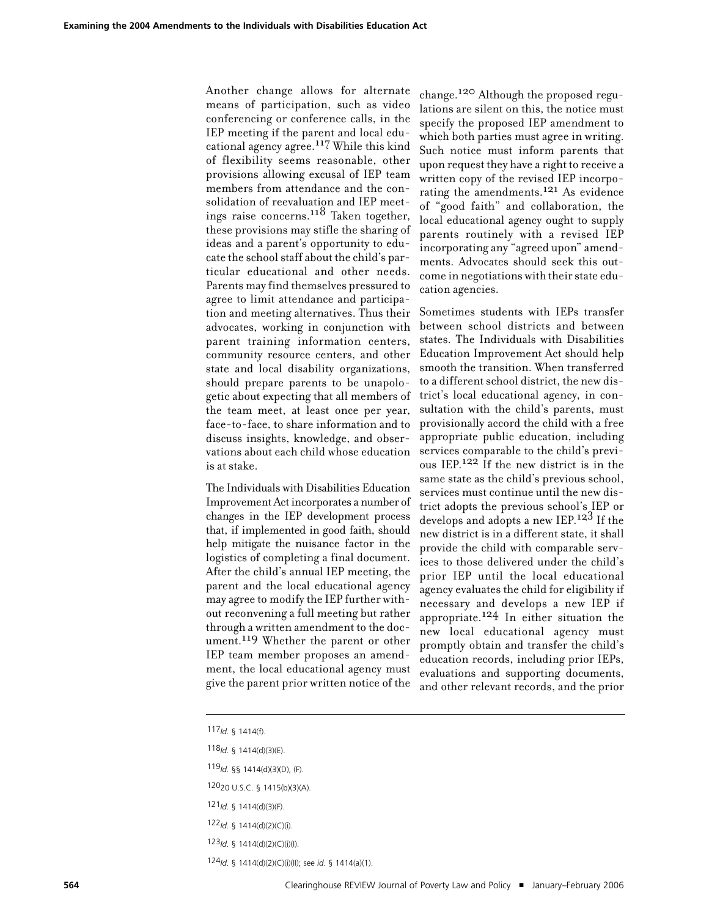Another change allows for alternate means of participation, such as video conferencing or conference calls, in the IEP meeting if the parent and local educational agency agree.117 While this kind of flexibility seems reasonable, other provisions allowing excusal of IEP team members from attendance and the consolidation of reevaluation and IEP meetings raise concerns.118 Taken together, these provisions may stifle the sharing of ideas and a parent's opportunity to educate the school staff about the child's particular educational and other needs. Parents may find themselves pressured to agree to limit attendance and participation and meeting alternatives. Thus their advocates, working in conjunction with parent training information centers, community resource centers, and other state and local disability organizations, should prepare parents to be unapologetic about expecting that all members of the team meet, at least once per year, face-to-face, to share information and to discuss insights, knowledge, and observations about each child whose education is at stake.

The Individuals with Disabilities Education Improvement Actincorporates a number of changes in the IEP development process that, if implemented in good faith, should help mitigate the nuisance factor in the logistics of completing a final document. After the child's annual IEP meeting, the parent and the local educational agency may agree to modify the IEP further without reconvening a full meeting but rather through a written amendment to the document. 119 Whether the parent or other IEP team member proposes an amendment, the local educational agency must give the parent prior written notice of the

change.120 Although the proposed regulations are silent on this, the notice must specify the proposed IEP amendment to which both parties must agree in writing. Such notice must inform parents that upon request they have a right to receive a written copy of the revised IEP incorporating the amendments.121 As evidence of "good faith" and collaboration, the local educational agency ought to supply parents routinely with a revised IEP incorporating any "agreed upon" amendments. Advocates should seek this outcome in negotiations with their state education agencies.

Sometimes students with IEPs transfer between school districts and between states. The Individuals with Disabilities Education Improvement Act should help smooth the transition. When transferred to a different school district, the new district's local educational agency, in consultation with the child's parents, must provisionally accord the child with a free appropriate public education, including services comparable to the child's previous IEP.<sup>122</sup> If the new district is in the same state as the child's previous school, services must continue until the new district adopts the previous school's IEP or develops and adopts a new  $\text{IEP.}^{123}$  If the new district is in a different state, it shall provide the child with comparable services to those delivered under the child's prior IEP until the local educational agency evaluates the child for eligibility if necessary and develops a new IEP if  $\frac{124}{24}$  In either situation the new local educational agency must promptly obtain and transfer the child's education records, including prior IEPs, evaluations and supporting documents, and other relevant records, and the prior

<sup>117</sup>*Id*. § 1414(f).

<sup>118</sup>*Id*. § 1414(d)(3)(E).

<sup>119</sup>*Id*. §§ 1414(d)(3)(D), (F).

<sup>12020</sup> U.S.C. § 1415(b)(3)(A).

<sup>121</sup>*Id*. § 1414(d)(3)(F).

<sup>122</sup>*Id*. § 1414(d)(2)(C)(i).

<sup>123</sup>*Id*. § 1414(d)(2)(C)(i)(I).

<sup>124</sup>*Id*. § 1414(d)(2)(C)(i)(II); see *id*. § 1414(a)(1).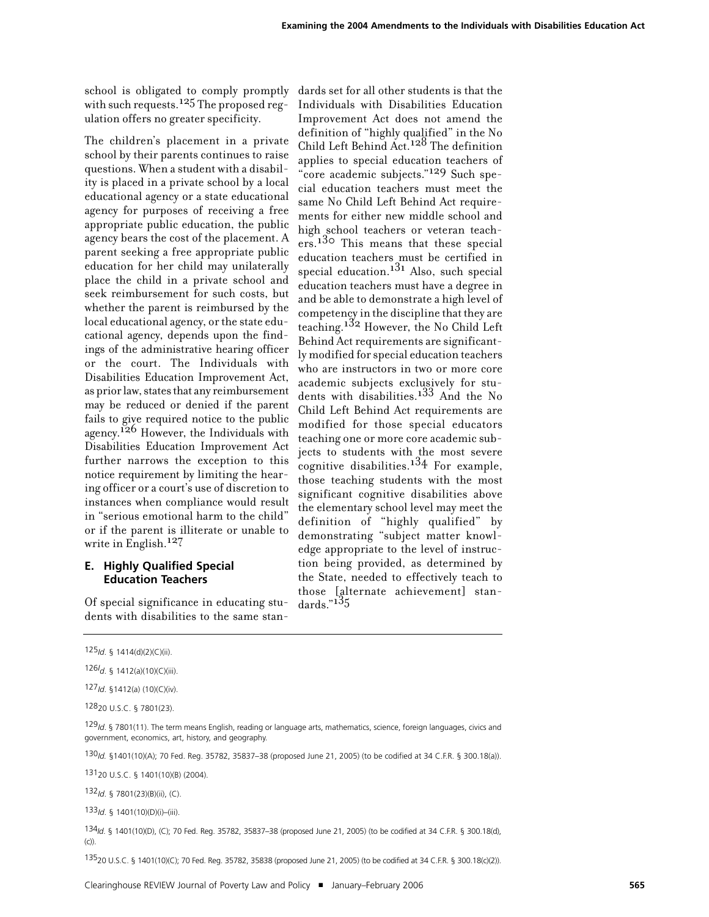school is obligated to comply promptly with such requests.<sup>125</sup> The proposed regulation offers no greater specificity.

The children's placement in a private school by their parents continues to raise questions. When a student with a disability is placed in a private school by a local educational agency or a state educational agency for purposes of receiving a free appropriate public education, the public agency bears the cost of the placement. A parent seeking a free appropriate public education for her child may unilaterally place the child in a private school and seek reimbursement for such costs, but whether the parent is reimbursed by the local educational agency, or the state educational agency, depends upon the findings of the administrative hearing officer or the court. The Individuals with Disabilities Education Improvement Act, as prior law, states that any reimbursement may be reduced or denied if the parent fails to give required notice to the public agency.<sup>126</sup> However, the Individuals with Disabilities Education Improvement Act further narrows the exception to this notice requirement by limiting the hearing officer or a court's use of discretion to instances when compliance would result in "serious emotional harm to the child" or if the parent is illiterate or unable to write in English. 127

# **E. Highly Qualified Special Education Teachers**

Of special significance in educating students with disabilities to the same stan-

dards set for all other students is that the Individuals with Disabilities Education Improvement Act does not amend the definition of "highly qualified" in the No Child Left Behind Act. 128 The definition applies to special education teachers of "core academic subjects."129 Such special education teachers must meet the same No Child Left Behind Act requirements for either new middle school and high school teachers or veteran teachers.<sup>130</sup> This means that these special education teachers must be certified in special education. 131 Also, such special education teachers must have a degree in and be able to demonstrate a high level of competency in the discipline that they are teaching.132 However, the No Child Left Behind Act requirements are significantly modified for special education teachers who are instructors in two or more core academic subjects exclusively for students with disabilities.<sup>133</sup> And the No Child Left Behind Act requirements are modified for those special educators teaching one or more core academic subjects to students with the most severe cognitive disabilities. 134 For example, those teaching students with the most significant cognitive disabilities above the elementary school level may meet the definition of "highly qualified" by demonstrating "subject matter knowledge appropriate to the level of instruction being provided, as determined by the State, needed to effectively teach to those [alternate achievement] standards."135

127*Id*. §1412(a) (10)(C)(iv).

12820 U.S.C. § 7801(23).

130*Id.* §1401(10)(A); 70 Fed. Reg. 35782, 35837–38 (proposed June 21, 2005) (to be codified at 34 C.F.R. § 300.18(a)).

13120 U.S.C. § 1401(10)(B) (2004).

132*Id*. § 7801(23)(B)(ii), (C).

133*Id*. § 1401(10)(D)(i)–(iii).

134*Id*. § 1401(10)(D), (C); 70 Fed. Reg. 35782, 35837–38 (proposed June 21, 2005) (to be codified at 34 C.F.R. § 300.18(d), (c)).

13520 U.S.C. § 1401(10)(C); 70 Fed. Reg. 35782, 35838 (proposed June 21, 2005) (to be codified at 34 C.F.R. § 300.18(c)(2)).

<sup>125</sup>*Id*. § 1414(d)(2)(C)(ii).

<sup>126</sup>*I d*. § 1412(a)(10)(C)(iii).

<sup>129</sup>*Id*. § 7801(11). The term means English, reading or language arts, mathematics, science, foreign languages, civics and government, economics, art, history, and geography.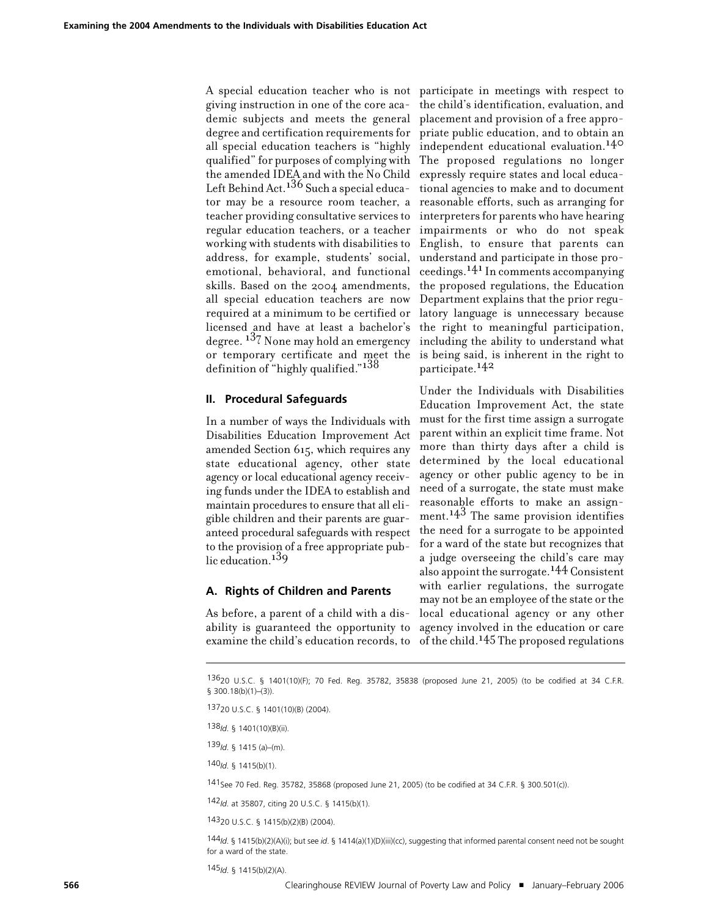A special education teacher who is not participate in meetings with respect to giving instruction in one of the core academic subjects and meets the general degree and certification requirements for all special education teachers is "highly qualified" for purposes of complying with The proposed regulations no longer the amended IDEA and with the No Child Left Behind Act. 136 Such a special educator may be a resource room teacher, a teacher providing consultative services to regular education teachers, or a teacher working with students with disabilities to address, for example, students' social, emotional, behavioral, and functional skills. Based on the 2004 amendments, all special education teachers are now required at a minimum to be certified or licensed and have at least a bachelor's degree. 137 None may hold an emergency or temporary certificate and meet the definition of "highly qualified."138

## **II. Procedural Safeguards**

In a number of ways the Individuals with Disabilities Education Improvement Act amended Section 615, which requires any state educational agency, other state agency or local educational agency receiving funds under the IDEA to establish and maintain procedures to ensure that all eligible children and their parents are guaranteed procedural safeguards with respect to the provision of a free appropriate public education.<sup>139</sup>

# **A. Rights of Children and Parents**

As before, a parent of a child with a disability is guaranteed the opportunity to examine the child's education records, to

the child's identification, evaluation, and placement and provision of a free appropriate public education, and to obtain an independent educational evaluation. 140 expressly require states and local educational agencies to make and to document reasonable efforts, such as arranging for interpreters for parents who have hearing impairments or who do not speak English, to ensure that parents can understand and participate in those proceedings.141In comments accompanying the proposed regulations, the Education Department explains that the prior regulatory language is unnecessary because the right to meaningful participation, including the ability to understand what is being said, is inherent in the right to participate.142

Under the Individuals with Disabilities Education Improvement Act, the state must for the first time assign a surrogate parent within an explicit time frame. Not more than thirty days after a child is determined by the local educational agency or other public agency to be in need of a surrogate, the state must make reasonable efforts to make an assignment. 143 The same provision identifies the need for a surrogate to be appointed for a ward of the state but recognizes that a judge overseeing the child's care may also appoint the surrogate.144 Consistent with earlier regulations, the surrogate may not be an employee of the state or the local educational agency or any other agency involved in the education or care of the child. 145 The proposed regulations

13620 U.S.C. § 1401(10)(F); 70 Fed. Reg. 35782, 35838 (proposed June 21, 2005) (to be codified at 34 C.F.R. § 300.18(b)(1)-(3)).

138*Id*. § 1401(10)(B)(ii).

139*Id*. § 1415 (a)–(m).

140*Id*. § 1415(b)(1).

141See 70 Fed. Reg. 35782, 35868 (proposed June 21, 2005) (to be codified at 34 C.F.R. § 300.501(c)).

142*Id*. at 35807, citing 20 U.S.C. § 1415(b)(1).

14320 U.S.C. § 1415(b)(2)(B) (2004).

144*Id*. § 1415(b)(2)(A)(i); but see *id*. § 1414(a)(1)(D)(iii)(cc), suggesting that informed parental consent need not be sought for a ward of the state.

145*Id*. § 1415(b)(2)(A).

<sup>13720</sup> U.S.C. § 1401(10)(B) (2004).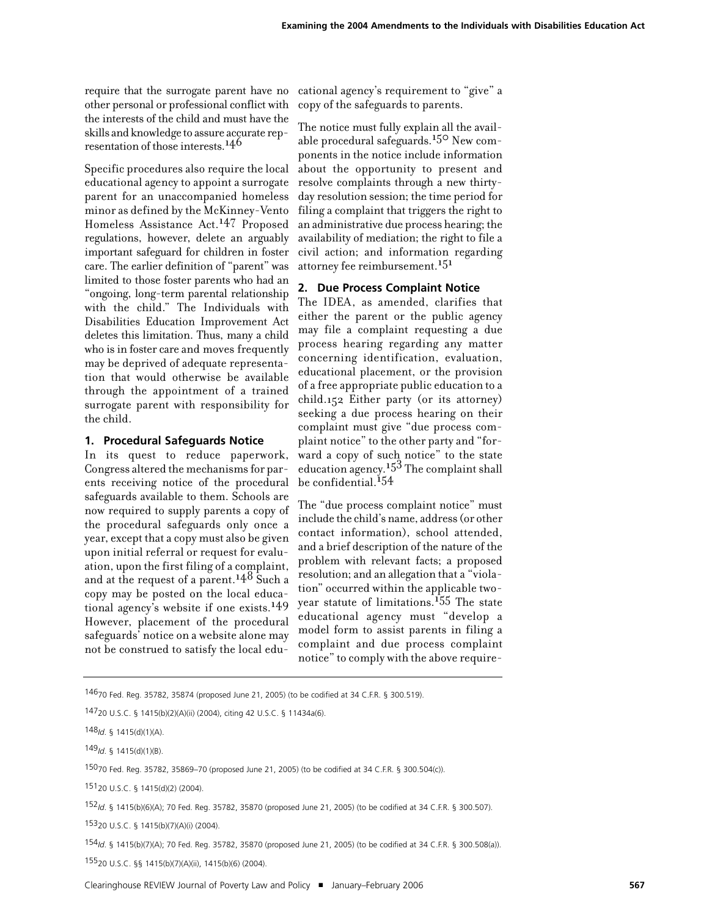require that the surrogate parent have no other personal or professional conflict with the interests of the child and must have the skills and knowledge to assure accurate representation of those interests. 146

Specific procedures also require the local educational agency to appoint a surrogate parent for an unaccompanied homeless minor as defined by the McKinney-Vento Homeless Assistance Act. 147 Proposed regulations, however, delete an arguably important safeguard for children in foster care. The earlier definition of "parent" was limited to those foster parents who had an "ongoing, long-term parental relationship with the child." The Individuals with Disabilities Education Improvement Act deletes this limitation. Thus, many a child who is in foster care and moves frequently may be deprived of adequate representation that would otherwise be available through the appointment of a trained surrogate parent with responsibility for the child.

#### **1. Procedural Safeguards Notice**

In its quest to reduce paperwork, Congress altered the mechanisms for parents receiving notice of the procedural safeguards available to them. Schools are now required to supply parents a copy of the procedural safeguards only once a year, except that a copy must also be given upon initial referral or request for evaluation, upon the first filing of a complaint, and at the request of a parent.<sup>148</sup> Such a copy may be posted on the local educational agency's website if one exists.149 However, placement of the procedural safeguards' notice on a website alone may not be construed to satisfy the local edu-

cational agency's requirement to "give" a copy of the safeguards to parents.

The notice must fully explain all the available procedural safeguards. 150 New components in the notice include information about the opportunity to present and resolve complaints through a new thirtyday resolution session; the time period for filing a complaint that triggers the right to an administrative due process hearing; the availability of mediation; the right to file a civil action; and information regarding attorney fee reimbursement. 151

# **2. Due Process Complaint Notice**

The IDEA, as amended, clarifies that either the parent or the public agency may file a complaint requesting a due process hearing regarding any matter concerning identification, evaluation, educational placement, or the provision of a free appropriate public education to a child.152 Either party (or its attorney) seeking a due process hearing on their complaint must give "due process complaint notice" to the other party and "forward a copy of such notice" to the state education agency.<sup> $15\overline{3}$ </sup> The complaint shall be confidential.<sup>154</sup>

The "due process complaint notice" must include the child's name, address(or other contact information), school attended, and a brief description of the nature of the problem with relevant facts; a proposed resolution; and an allegation that a "violation" occurred within the applicable twoyear statute of limitations.155 The state educational agency must "develop a model form to assist parents in filing a complaint and due process complaint notice" to comply with the above require-

149*Id*. § 1415(d)(1)(B).

15070 Fed. Reg. 35782, 35869–70 (proposed June 21, 2005) (to be codified at 34 C.F.R. § 300.504(c)).

15120 U.S.C. § 1415(d)(2) (2004).

15320 U.S.C. § 1415(b)(7)(A)(i) (2004).

154*Id*. § 1415(b)(7)(A); 70 Fed. Reg. 35782, 35870 (proposed June 21, 2005) (to be codified at 34 C.F.R. § 300.508(a)).

15520 U.S.C. §§ 1415(b)(7)(A)(ii), 1415(b)(6) (2004).

<sup>14670</sup> Fed. Reg. 35782, 35874 (proposed June 21, 2005) (to be codified at 34 C.F.R. § 300.519).

<sup>14720</sup> U.S.C. § 1415(b)(2)(A)(ii) (2004), citing 42 U.S.C. § 11434a(6).

<sup>148</sup>*Id*. § 1415(d)(1)(A).

<sup>152</sup>*Id*. § 1415(b)(6)(A); 70 Fed. Reg. 35782, 35870 (proposed June 21, 2005) (to be codified at 34 C.F.R. § 300.507).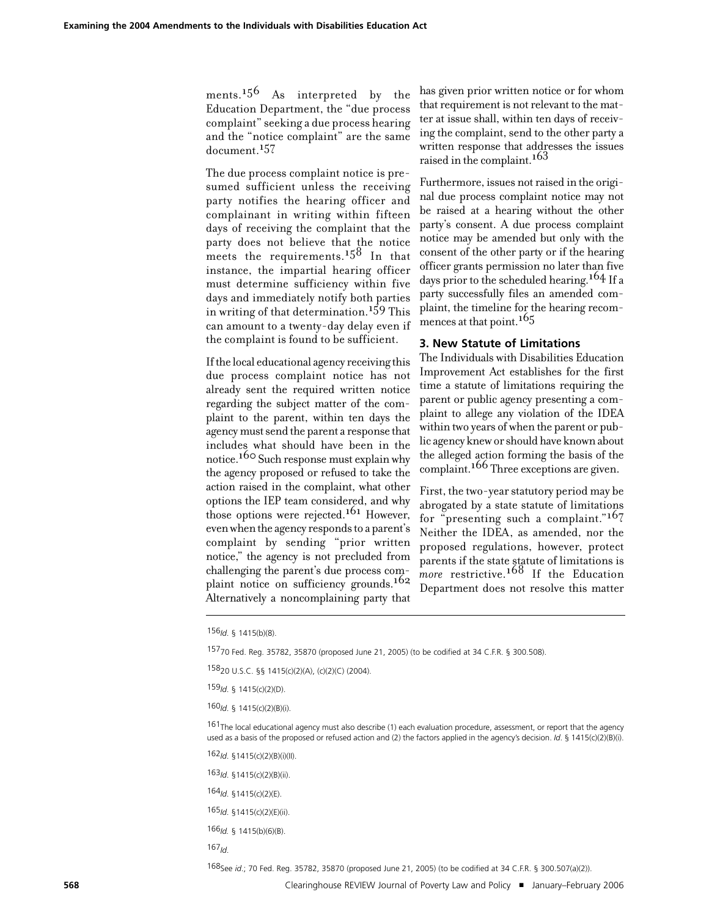ments. 156 As interpreted by the Education Department, the "due process complaint" seeking a due process hearing and the "notice complaint" are the same document.<sup>157</sup>

The due process complaint notice is presumed sufficient unless the receiving party notifies the hearing officer and complainant in writing within fifteen days of receiving the complaint that the party does not believe that the notice meets the requirements.<sup>158</sup> In that instance, the impartial hearing officer must determine sufficiency within five days and immediately notify both parties in writing of that determination. 159 This can amount to a twenty-day delay even if the complaint is found to be sufficient.

Ifthe local educational agency receiving this due process complaint notice has not already sent the required written notice regarding the subject matter of the complaint to the parent, within ten days the agencymustsend the parent a response that includes what should have been in the notice. 160 Such responsemust explain why the agency proposed or refused to take the action raised in the complaint, what other options the IEP team considered, and why those options were rejected. 161 However, even when the agency responds to a parent's complaint by sending "prior written notice," the agency is not precluded from challenging the parent's due process complaint notice on sufficiency grounds.<sup>162</sup> Alternatively a noncomplaining party that

has given prior written notice or for whom that requirement is not relevant to the matter at issue shall, within ten days of receiving the complaint, send to the other party a written response that addresses the issues raised in the complaint. 163

Furthermore, issues not raised in the original due process complaint notice may not be raised at a hearing without the other party's consent. A due process complaint notice may be amended but only with the consent of the other party or if the hearing officer grants permission no later than five days prior to the scheduled hearing.<sup>164</sup> If a party successfully files an amended complaint, the timeline for the hearing recommences at that point.<sup>165</sup>

## **3. New Statute of Limitations**

The Individuals with Disabilities Education Improvement Act establishes for the first time a statute of limitations requiring the parent or public agency presenting a complaint to allege any violation of the IDEA within two years of when the parent or public agency knew or should have known about the alleged action forming the basis of the complaint. 166 Three exceptions are given.

First, the two-year statutory period may be abrogated by a state statute of limitations for "presenting such a complaint."167 Neither the IDEA, as amended, nor the proposed regulations, however, protect parents if the state statute of limitations is *more* restrictive. 168 If the Education Department does not resolve this matter

156*Id*. § 1415(b)(8).

15770 Fed. Reg. 35782, 35870 (proposed June 21, 2005) (to be codified at 34 C.F.R. § 300.508).

15820 U.S.C. §§ 1415(c)(2)(A), (c)(2)(C) (2004).

159*Id*. § 1415(c)(2)(D).

160*Id*. § 1415(c)(2)(B)(i).

161The local educational agency must also describe (1) each evaluation procedure, assessment, or report that the agency used as a basis of the proposed or refused action and (2) the factors applied in the agency's decision. *Id*. § 1415(c)(2)(B)(i).

162*Id*. §1415(c)(2)(B)(i)(II).

163*Id*. §1415(c)(2)(B)(ii).

164*Id*. §1415(c)(2)(E).

165*Id*. §1415(c)(2)(E)(ii).

166*Id.* § 1415(b)(6)(B).

167*Id*.

168See *id*.; 70 Fed. Reg. 35782, 35870 (proposed June 21, 2005) (to be codified at 34 C.F.R. § 300.507(a)(2)).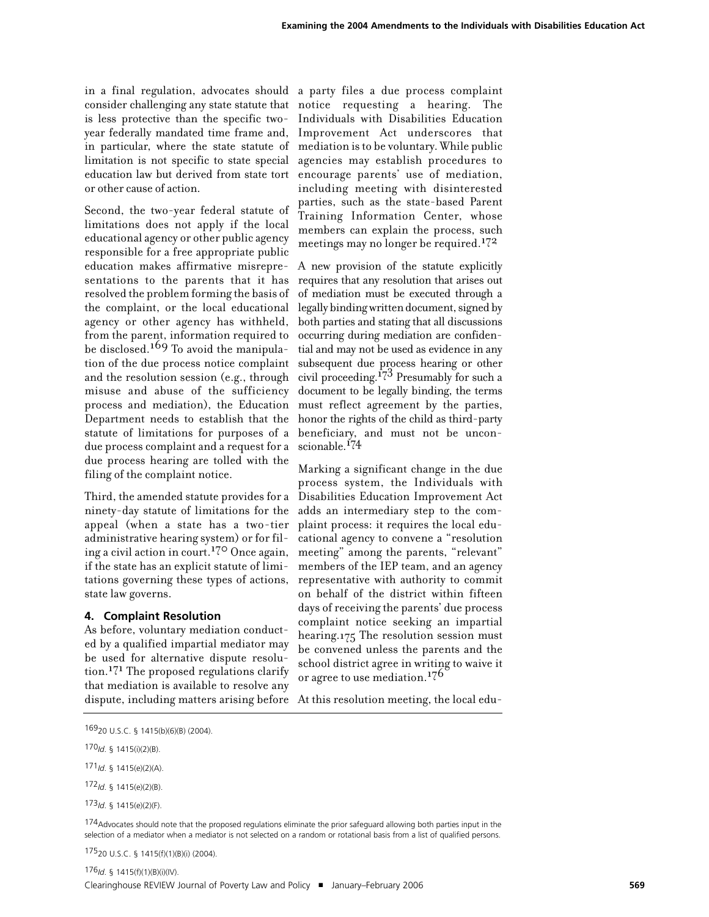in a final regulation, advocates should a party files a due process complaint is less protective than the specific twoor other cause of action.

Second, the two-year federal statute of limitations does not apply if the local educational agency or other public agency responsible for a free appropriate public education makes affirmative misrepresentations to the parents that it has resolved the problem forming the basis of the complaint, or the local educational agency or other agency has withheld, from the parent, information required to be disclosed. 169 To avoid the manipulation of the due process notice complaint and the resolution session (e.g., through misuse and abuse of the sufficiency process and mediation), the Education must reflect agreement by the parties, Department needs to establish that the statute of limitations for purposes of a due process complaint and a request for a due process hearing are tolled with the filing of the complaint notice.

Third, the amended statute provides for a ninety-day statute of limitations for the appeal (when a state has a two-tier administrative hearing system) or for filing a civil action in court.<sup>170</sup> Once again, if the state has an explicit statute of limitations governing these types of actions, state law governs.

# **4. Complaint Resolution**

As before, voluntary mediation conducted by a qualified impartial mediator may be used for alternative dispute resolu $t_{\rm 100}$   $^{171}$  The proposed regulations clarify that mediation is available to resolve any

consider challenging any state statute that notice requesting a hearing. The year federally mandated time frame and, Improvement Act underscores that in particular, where the state statute of mediation is to be voluntary. While public limitation is not specific to state special agencies may establish procedures to education law but derived from state tort encourage parents' use of mediation, Individuals with Disabilities Education including meeting with disinterested parties, such as the state-based Parent Training Information Center, whose members can explain the process, such meetings may no longer be required.<sup>172</sup>

> A new provision of the statute explicitly requires that any resolution that arises out of mediation must be executed through a legally binding written document, signed by both parties and stating that all discussions occurring during mediation are confidential and may not be used as evidence in any subsequent due process hearing or other civil proceeding.<sup>173</sup> Presumably for such a document to be legally binding, the terms honor the rights of the child as third-party beneficiary, and must not be unconscionable. 174

> Marking a significant change in the due process system, the Individuals with Disabilities Education Improvement Act adds an intermediary step to the complaint process: it requires the local educational agency to convene a "resolution meeting" among the parents, "relevant" members of the IEP team, and an agency representative with authority to commit on behalf of the district within fifteen days of receiving the parents' due process complaint notice seeking an impartial hearing.175 The resolution session must be convened unless the parents and the school district agree in writing to waive it or agree to use mediation.<sup>176</sup>

dispute, including matters arising before At this resolution meeting, the local edu-

174 Advocates should note that the proposed regulations eliminate the prior safeguard allowing both parties input in the selection of a mediator when a mediator is not selected on a random or rotational basis from a list of qualified persons.

17520 U.S.C. § 1415(f)(1)(B)(i) (2004).

<sup>16920</sup> U.S.C. § 1415(b)(6)(B) (2004).

<sup>170</sup>*Id*. § 1415(i)(2)(B).

<sup>171</sup>*Id*. § 1415(e)(2)(A).

<sup>172</sup>*Id*. § 1415(e)(2)(B).

<sup>173</sup>*Id*. § 1415(e)(2)(F).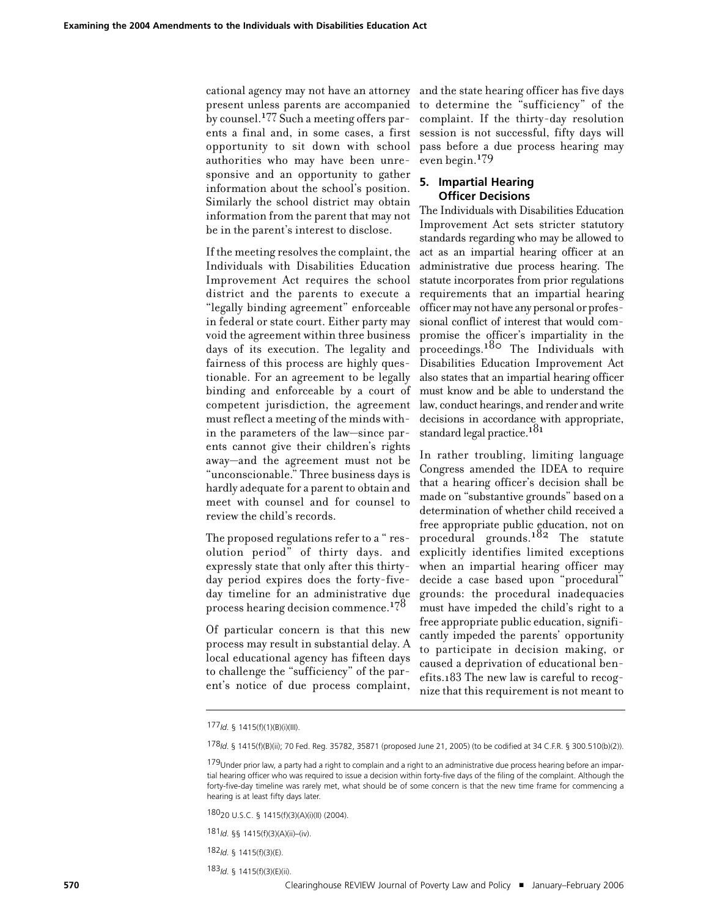cational agency may not have an attorney present unless parents are accompanied by counsel.177 Such a meeting offers parents a final and, in some cases, a first opportunity to sit down with school authorities who may have been unresponsive and an opportunity to gather information about the school's position. Similarly the school district may obtain information from the parent that may not be in the parent's interest to disclose.

If the meeting resolves the complaint, the Individuals with Disabilities Education Improvement Act requires the school district and the parents to execute a "legally binding agreement" enforceable in federal or state court. Either party may void the agreement within three business days of its execution. The legality and fairness of this process are highly questionable. For an agreement to be legally binding and enforceable by a court of competent jurisdiction, the agreement must reflect a meeting of the minds within the parameters of the law—since parents cannot give their children's rights away—and the agreement must not be "unconscionable." Three business days is hardly adequate for a parent to obtain and meet with counsel and for counsel to review the child's records.

The proposed regulations refer to a " resolution period" of thirty days. and expressly state that only after this thirtyday period expires does the forty-fiveday timeline for an administrative due process hearing decision commence.178

Of particular concern is that this new process may result in substantial delay. A local educational agency has fifteen days to challenge the "sufficiency" of the parent's notice of due process complaint,

and the state hearing officer has five days to determine the "sufficiency" of the complaint. If the thirty-day resolution session is not successful, fifty days will pass before a due process hearing may even begin. 179

## **5. Impartial Hearing Officer Decisions**

The Individuals with Disabilities Education Improvement Act sets stricter statutory standards regarding who may be allowed to act as an impartial hearing officer at an administrative due process hearing. The statute incorporates from prior regulations requirements that an impartial hearing officermaynothave anypersonal orprofessional conflict of interest that would compromise the officer's impartiality in the proceedings.<sup>180</sup> The Individuals with Disabilities Education Improvement Act also states that an impartial hearing officer must know and be able to understand the law, conduct hearings, and render andwrite decisions in accordance with appropriate, standard legal practice.<sup>181</sup>

In rather troubling, limiting language Congress amended the IDEA to require that a hearing officer's decision shall be made on "substantive grounds" based on a determination of whether child received a free appropriate public education, not on procedural grounds.<sup>182</sup> The statute explicitly identifies limited exceptions when an impartial hearing officer may decide a case based upon "procedural" grounds: the procedural inadequacies must have impeded the child's right to a free appropriate public education, significantly impeded the parents' opportunity to participate in decision making, or caused a deprivation of educational benefits.183 The new law is careful to recognize that this requirement is not meant to

182*Id*. § 1415(f)(3)(E).

183*Id*. § 1415(f)(3)(E)(ii).

<sup>177</sup>*Id*. § 1415(f)(1)(B)(i)(III).

<sup>178</sup>*Id*. § 1415(f)(B)(ii); 70 Fed. Reg. 35782, 35871 (proposed June 21, 2005) (to be codified at 34 C.F.R. § 300.510(b)(2)).

<sup>179</sup>Under prior law, a party had a right to complain and a right to an administrative due process hearing before an impartial hearing officer who was required to issue a decision within forty-five days of the filing of the complaint. Although the forty-five-day timeline was rarely met, what should be of some concern is that the new time frame for commencing a hearing is at least fifty days later.

<sup>18020</sup> U.S.C. § 1415(f)(3)(A)(i)(II) (2004).

<sup>181</sup>*Id*. §§ 1415(f)(3)(A)(ii)–(iv).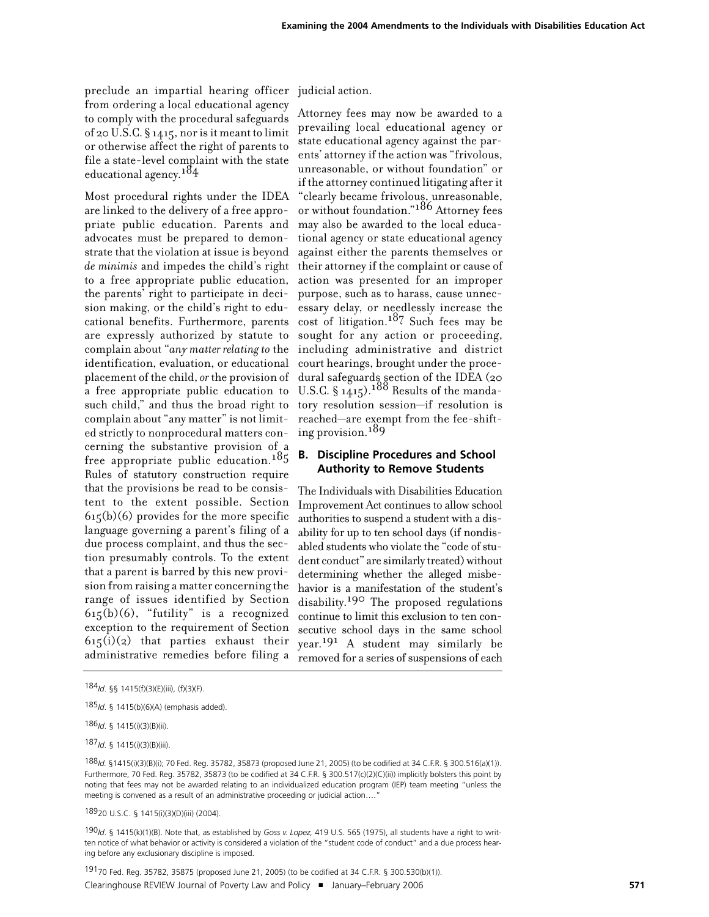preclude an impartial hearing officer judicial action. from ordering a local educational agency to comply with the procedural safeguards of 20 U.S.C. § 1415, nor is it meant to limit or otherwise affect the right of parents to file a state-level complaint with the state educational agency. 184

Most procedural rights under the IDEA are linked to the delivery of a free appropriate public education. Parents and advocates must be prepared to demonstrate that the violation at issue is beyond *de minimis* and impedes the child's right to a free appropriate public education, the parents' right to participate in decision making, or the child's right to educational benefits. Furthermore, parents are expressly authorized by statute to complain about "*any matter relating to* the identification, evaluation, or educational placement of the child, *or* the provision of a free appropriate public education to such child," and thus the broad right to complain about "any matter" is not limited strictly to nonprocedural matters concerning the substantive provision of a free appropriate public education.<sup>185</sup> Rules of statutory construction require that the provisions be read to be consistent to the extent possible. Section  $615(b)(6)$  provides for the more specific language governing a parent's filing of a due process complaint, and thus the section presumably controls. To the extent that a parent is barred by this new provision from raising a matter concerning the range of issues identified by Section  $615(b)(6)$ , "futility" is a recognized exception to the requirement of Section  $615(i)(2)$  that parties exhaust their administrative remedies before filing a

Attorney fees may now be awarded to a prevailing local educational agency or state educational agency against the parents' attorney if the action was "frivolous, unreasonable, or without foundation" or if the attorney continued litigating after it "clearly became frivolous, unreasonable, or without foundation."186 Attorney fees may also be awarded to the local educational agency or state educational agency against either the parents themselves or their attorney if the complaint or cause of action was presented for an improper purpose, such as to harass, cause unnecessary delay, or needlessly increase the  $cost$  of litigation.<sup>187</sup> Such fees may be sought for any action or proceeding, including administrative and district court hearings, brought under the procedural safeguards section of the IDEA (20 U.S.C.  $\S 1415$ .  $188$  Results of the mandatory resolution session—if resolution is reached—are exempt from the fee-shifting provision. 189

# **B. Discipline Procedures and School Authority to Remove Students**

The Individuals with Disabilities Education Improvement Act continues to allow school authoritiesto suspend a student with a disability for up to ten school days (if nondisabled students who violate the "code of student conduct" are similarly treated) without determining whether the alleged misbehavior is a manifestation of the student's disability. 190 The proposed regulations continue to limit this exclusion to ten consecutive school days in the same school  $year<sup>191</sup>$  A student may similarly be removed for a series of suspensions of each

186*Id*. § 1415(i)(3)(B)(ii).

187*Id*. § 1415(i)(3)(B)(iii).

Clearinghouse REVIEW Journal of Poverty Law and Policy ! January–February 2006 **571** 19170 Fed. Reg. 35782, 35875 (proposed June 21, 2005) (to be codified at 34 C.F.R. § 300.530(b)(1)).

<sup>184</sup>*Id*. §§ 1415(f)(3)(E)(iii), (f)(3)(F).

<sup>185</sup>*Id*. § 1415(b)(6)(A) (emphasis added).

<sup>188</sup>*Id.* §1415(i)(3)(B)(i); 70 Fed. Reg. 35782, 35873 (proposed June 21, 2005) (to be codified at 34 C.F.R. § 300.516(a)(1)). Furthermore, 70 Fed. Reg. 35782, 35873 (to be codified at 34 C.F.R. § 300.517(c)(2)(C)(ii)) implicitly bolsters this point by noting that fees may not be awarded relating to an individualized education program (IEP) team meeting "unless the meeting is convened as a result of an administrative proceeding or judicial action....'

<sup>18920</sup> U.S.C. § 1415(i)(3)(D)(iii) (2004).

<sup>190</sup>*Id*. § 1415(k)(1)(B). Note that, as established by *Goss v. Lopez,* 419 U.S. 565 (1975), all students have a right to written notice of what behavior or activity is considered a violation of the "student code of conduct" and a due process hearing before any exclusionary discipline is imposed.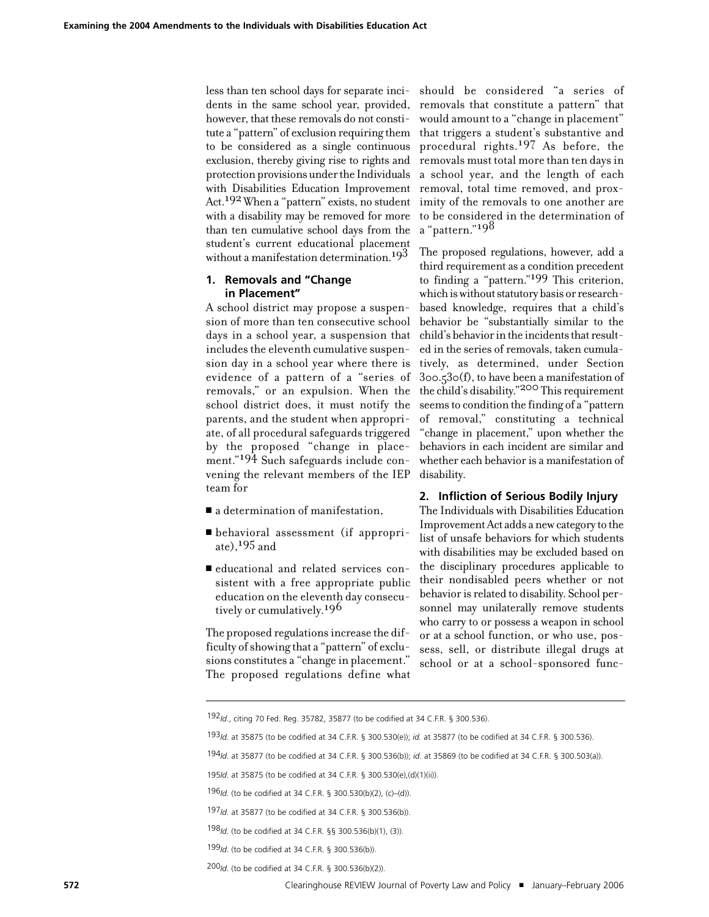less than ten school days for separate incidents in the same school year, provided, however, that these removals do not constitute a "pattern" of exclusion requiring them to be considered as a single continuous exclusion, thereby giving rise to rights and protection provisions under the Individuals with Disabilities Education Improvement Act. 192 When a "pattern" exists, no student with a disability may be removed for more than ten cumulative school days from the student's current educational placement without a manifestation determination. 193

# **1. Removals and "Change in Placement"**

A school district may propose a suspension of more than ten consecutive school days in a school year, a suspension that includes the eleventh cumulative suspension day in a school year where there is evidence of a pattern of a "series of removals," or an expulsion. When the school district does, it must notify the parents, and the student when appropriate, of all procedural safeguards triggered by the proposed "change in placement."194 Such safeguards include convening the relevant members of the IEP team for

- $\blacksquare$  a determination of manifestation,
- ! behavioral assessment (if appropriate),  $195$  and
- ! educational and related services consistent with a free appropriate public education on the eleventh day consecutively or cumulatively.<sup>196</sup>

The proposed regulationsincrease the difficulty of showing that a "pattern" of exclusions constitutes a "change in placement." The proposed regulations define what

should be considered "a series of removals that constitute a pattern" that would amount to a "change in placement" that triggers a student's substantive and procedural rights.<sup>197</sup> As before, the removals must total more than ten days in a school year, and the length of each removal, total time removed, and proximity of the removals to one another are to be considered in the determination of a "pattern."198

The proposed regulations, however, add a third requirement as a condition precedent to finding a "pattern."199 This criterion, which is without statutory basis or researchbased knowledge, requires that a child's behavior be "substantially similar to the child's behavior in the incidents that resulted in the series of removals, taken cumulatively, as determined, under Section 300.530(f), to have been a manifestation of the child's disability."200 This requirement seemsto condition the finding of a "pattern of removal," constituting a technical "change in placement," upon whether the behaviors in each incident are similar and whether each behavior is a manifestation of disability.

#### **2. Infliction of Serious Bodily Injury**

The Individuals with Disabilities Education Improvement Act adds a new category to the list of unsafe behaviors for which students with disabilities may be excluded based on the disciplinary procedures applicable to their nondisabled peers whether or not behavior is related to disability. School personnel may unilaterally remove students who carry to or possess a weapon in school or at a school function, or who use, possess, sell, or distribute illegal drugs at school or at a school-sponsored func-

200*Id*. (to be codified at 34 C.F.R. § 300.536(b)(2)).

<sup>192</sup>*Id*., citing 70 Fed. Reg. 35782, 35877 (to be codified at 34 C.F.R. § 300.536).

<sup>193</sup>*Id*. at 35875 (to be codified at 34 C.F.R. § 300.530(e)); *id.* at 35877 (to be codified at 34 C.F.R. § 300.536).

<sup>194</sup>*Id*. at 35877 (to be codified at 34 C.F.R. § 300.536(b)); *id*. at 35869 (to be codified at 34 C.F.R. § 300.503(a)).

<sup>195</sup>*Id*. at 35875 (to be codified at 34 C.F.R. § 300.530(e),(d)(1)(ii)).

<sup>196</sup>*Id*. (to be codified at 34 C.F.R. § 300.530(b)(2), (c)–(d)).

<sup>197</sup>*Id*. at 35877 (to be codified at 34 C.F.R. § 300.536(b)).

<sup>198</sup>*Id*. (to be codified at 34 C.F.R. §§ 300.536(b)(1), (3)).

<sup>199</sup>*Id*. (to be codified at 34 C.F.R. § 300.536(b)).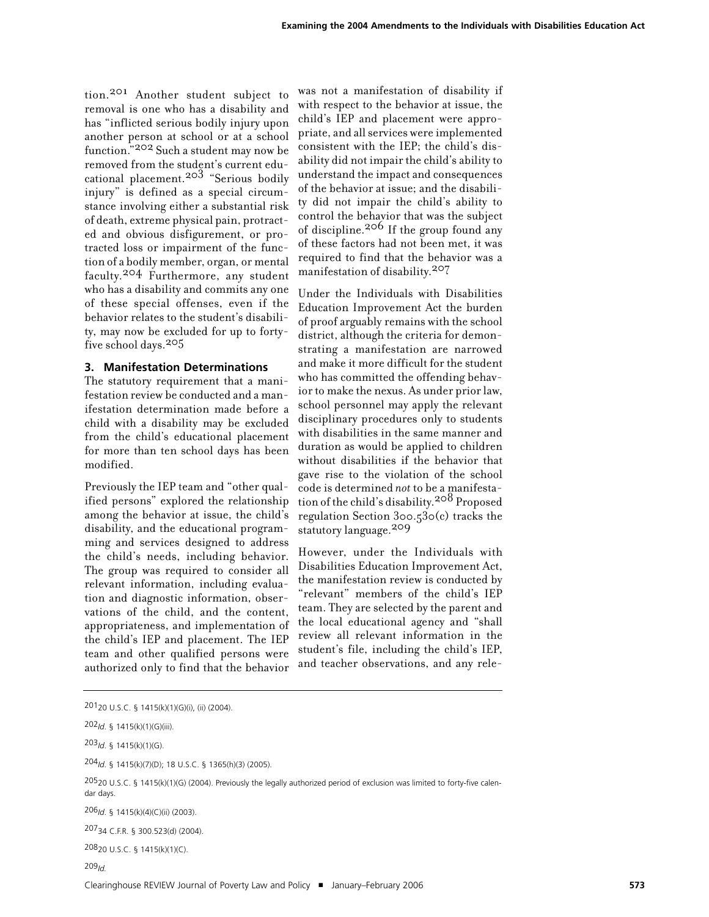tion. 201 Another student subject to removal is one who has a disability and has "inflicted serious bodily injury upon another person at school or at a school function."202 Such a student may now be removed from the student's current educational placement. 203 "Serious bodily injury" is defined as a special circumstance involving either a substantial risk of death, extreme physical pain, protracted and obvious disfigurement, or protracted loss or impairment of the function of a bodily member, organ, or mental faculty. 204 Furthermore, any student who has a disability and commits any one of these special offenses, even if the behavior relates to the student's disability, may now be excluded for up to fortyfive school days.205

## **3. Manifestation Determinations**

The statutory requirement that a manifestation review be conducted and a manifestation determination made before a child with a disability may be excluded from the child's educational placement for more than ten school days has been modified.

Previously the IEP team and "other qualified persons" explored the relationship among the behavior at issue, the child's disability, and the educational programming and services designed to address the child's needs, including behavior. The group was required to consider all relevant information, including evaluation and diagnostic information, observations of the child, and the content, appropriateness, and implementation of the child's IEP and placement. The IEP team and other qualified persons were authorized only to find that the behavior

was not a manifestation of disability if with respect to the behavior at issue, the child's IEP and placement were appropriate, and all services were implemented consistent with the IEP; the child's disability did not impair the child's ability to understand the impact and consequences of the behavior at issue; and the disability did not impair the child's ability to control the behavior that was the subject of discipline.206 If the group found any of these factors had not been met, it was required to find that the behavior was a manifestation of disability. 207

Under the Individuals with Disabilities Education Improvement Act the burden of proof arguably remains with the school district, although the criteria for demonstrating a manifestation are narrowed and make it more difficult for the student who has committed the offending behavior to make the nexus. As under prior law, school personnel may apply the relevant disciplinary procedures only to students with disabilities in the same manner and duration as would be applied to children without disabilities if the behavior that gave rise to the violation of the school code is determined *not* to be a manifestation of the child's disability. 208 Proposed regulation Section 300.530(c) tracks the statutory language.209

However, under the Individuals with Disabilities Education Improvement Act, the manifestation review is conducted by "relevant" members of the child's IEP team. They are selected by the parent and the local educational agency and "shall review all relevant information in the student's file, including the child's IEP, and teacher observations, and any rele-

202*Id*. § 1415(k)(1)(G)(iii).

203*Id*. § 1415(k)(1)(G).

204*Id*. § 1415(k)(7)(D); 18 U.S.C. § 1365(h)(3) (2005).

20520 U.S.C. § 1415(k)(1)(G) (2004). Previously the legally authorized period of exclusion was limited to forty-five calendar days.

206*Id*. § 1415(k)(4)(C)(ii) (2003).

20734 C.F.R. § 300.523(d) (2004).

20820 U.S.C. § 1415(k)(1)(C).

209*Id.*

<sup>20120</sup> U.S.C. § 1415(k)(1)(G)(i), (ii) (2004).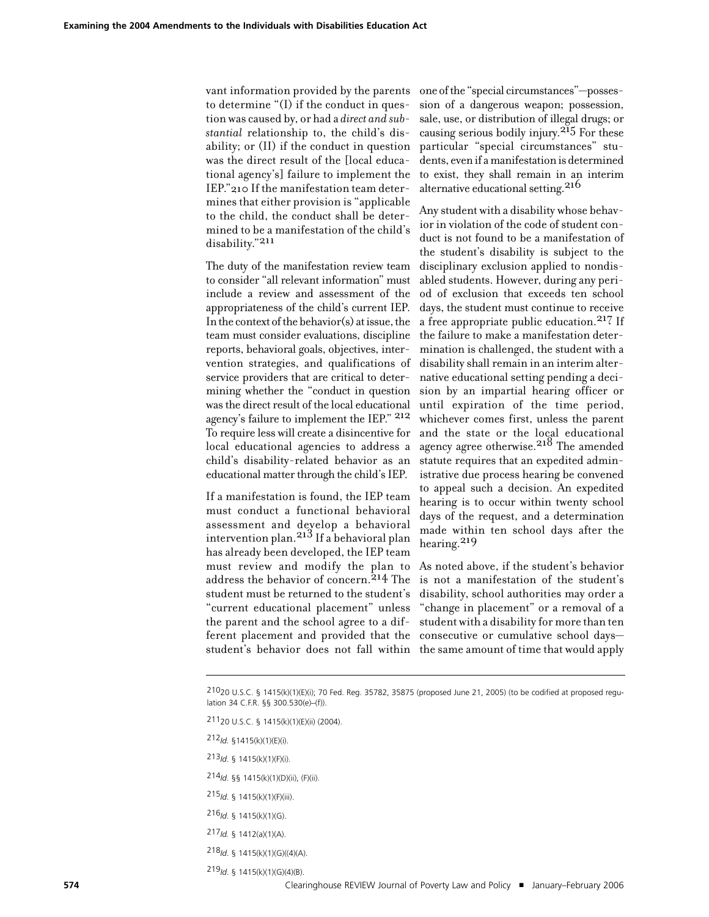vant information provided by the parents to determine "(I) if the conduct in question was caused by, or had a *direct and substantial* relationship to, the child's disability; or (II) if the conduct in question was the direct result of the [local educational agency's] failure to implement the IEP."210 If the manifestation team determines that either provision is "applicable to the child, the conduct shall be determined to be a manifestation of the child's disability."211

The duty of the manifestation review team to consider "all relevant information" must include a review and assessment of the appropriateness of the child's current IEP. In the context of the behavior(s) at issue, the team must consider evaluations, discipline reports, behavioral goals, objectives, intervention strategies, and qualifications of service providers that are critical to determining whether the "conduct in question was the direct result of the local educational agency's failure to implement the IEP." 212 To require less will create a disincentive for local educational agencies to address a child's disability-related behavior as an educational matter through the child's IEP.

If a manifestation is found, the IEP team must conduct a functional behavioral assessment and develop a behavioral intervention plan. 213 If a behavioral plan has already been developed, the IEP team must review and modify the plan to address the behavior of concern. 214 The student must be returned to the student's "current educational placement" unless the parent and the school agree to a different placement and provided that the

one ofthe "special circumstances"—possession of a dangerous weapon; possession, sale, use, or distribution of illegal drugs; or causing serious bodily injury.<sup>215</sup> For these particular "special circumstances" students, even if a manifestation is determined to exist, they shall remain in an interim alternative educational setting.<sup>216</sup>

Any student with a disability whose behavior in violation of the code of student conduct is not found to be a manifestation of the student's disability is subject to the disciplinary exclusion applied to nondisabled students. However, during any period of exclusion that exceeds ten school days, the student must continue to receive a free appropriate public education.<sup>217</sup> If the failure to make a manifestation determination is challenged, the student with a disability shall remain in an interim alternative educational setting pending a decision by an impartial hearing officer or until expiration of the time period, whichever comes first, unless the parent and the state or the local educational agency agree otherwise. 218 The amended statute requires that an expedited administrative due process hearing be convened to appeal such a decision. An expedited hearing is to occur within twenty school days of the request, and a determination made within ten school days after the hearing. 219

student's behavior does not fall within the same amount of time that would apply As noted above, if the student's behavior is not a manifestation of the student's disability, school authorities may order a "change in placement" or a removal of a student with a disability for more than ten consecutive or cumulative school days—

21120 U.S.C. § 1415(k)(1)(E)(ii) (2004).

- 212*Id*. §1415(k)(1)(E)(i).
- 213*Id*. § 1415(k)(1)(F)(i).
- 214*Id*. §§ 1415(k)(1)(D)(ii), (F)(ii).
- 215*Id*. § 1415(k)(1)(F)(iii).
- 216*Id*. § 1415(k)(1)(G).
- 217*Id.* § 1412(a)(1)(A).
- 218*Id*. § 1415(k)(1)(G)((4)(A).
- 219*Id*. § 1415(k)(1)(G)(4)(B).

<sup>21020</sup> U.S.C. § 1415(k)(1)(E)(i); 70 Fed. Reg. 35782, 35875 (proposed June 21, 2005) (to be codified at proposed regulation 34 C.F.R. §§ 300.530(e)–(f)).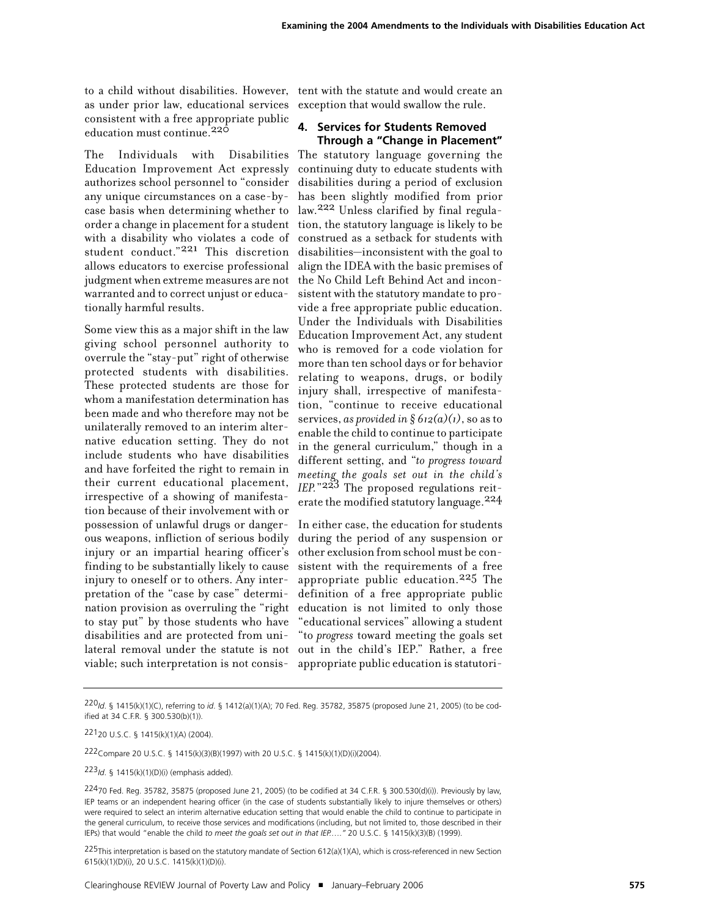as under prior law, educational services consistent with a free appropriate public education must continue.<sup>220</sup>

Education Improvement Act expressly authorizes school personnel to "consider any unique circumstances on a case-bycase basis when determining whether to order a change in placement for a student with a disability who violates a code of student conduct."<sup>221</sup> This discretion allows educators to exercise professional judgment when extreme measures are not warranted and to correct unjust or educationally harmful results.

Some view this as a major shift in the law giving school personnel authority to overrule the "stay-put" right of otherwise protected students with disabilities. These protected students are those for whom a manifestation determination has been made and who therefore may not be unilaterally removed to an interim alternative education setting. They do not include students who have disabilities and have forfeited the right to remain in their current educational placement, irrespective of a showing of manifestation because of their involvement with or possession of unlawful drugs or dangerous weapons, infliction of serious bodily injury or an impartial hearing officer's finding to be substantially likely to cause injury to oneself or to others. Any interpretation of the "case by case" determination provision as overruling the "right to stay put" by those students who have disabilities and are protected from unilateral removal under the statute is not out in the child's IEP." Rather, a free viable; such interpretation is not consis-

to a child without disabilities. However, tent with the statute and would create an exception that would swallow the rule.

# **4. Services for Students Removed Through a "Change in Placement"**

The Individuals with Disabilities The statutory language governing the continuing duty to educate students with disabilities during a period of exclusion has been slightly modified from prior law. 222 Unless clarified by final regulation, the statutory language is likely to be construed as a setback for students with disabilities—inconsistent with the goal to align the IDEA with the basic premises of the No Child Left Behind Act and inconsistent with the statutory mandate to provide a free appropriate public education. Under the Individuals with Disabilities Education Improvement Act, any student who is removed for a code violation for more than ten school days or for behavior relating to weapons, drugs, or bodily injury shall, irrespective of manifestation, "continue to receive educational services, *as provided in § 612(a)(1)*, so as to enable the child to continue to participate in the general curriculum," though in a different setting, and "*to progress toward meeting the goals set out in the child's IEP.*"223 The proposed regulations reiterate the modified statutory language.224

> In either case, the education for students during the period of any suspension or other exclusion from school must be consistent with the requirements of a free appropriate public education.<sup>225</sup> The definition of a free appropriate public education is not limited to only those "educational services" allowing a student "to *progress* toward meeting the goals set appropriate public education is statutori-

222Compare 20 U.S.C. § 1415(k)(3)(B)(1997) with 20 U.S.C. § 1415(k)(1)(D)(i)(2004).

223*Id*. § 1415(k)(1)(D)(i) (emphasis added).

225This interpretation is based on the statutory mandate of Section 612(a)(1)(A), which is cross-referenced in new Section 615(k)(1)(D)(i), 20 U.S.C. 1415(k)(1)(D)(i).

<sup>220</sup>*Id*. § 1415(k)(1)(C), referring to *id*. § 1412(a)(1)(A); 70 Fed. Reg. 35782, 35875 (proposed June 21, 2005) (to be codified at 34 C.F.R. § 300.530(b)(1)).

<sup>22120</sup> U.S.C. § 1415(k)(1)(A) (2004).

<sup>22470</sup> Fed. Reg. 35782, 35875 (proposed June 21, 2005) (to be codified at 34 C.F.R. § 300.530(d)(i)). Previously by law, IEP teams or an independent hearing officer (in the case of students substantially likely to injure themselves or others) were required to select an interim alternative education setting that would enable the child to continue to participate in the general curriculum, to receive those services and modifications (including, but not limited to, those described in their IEPs) that would "enable the child *to meet the goals set out in that IEP.…."* 20 U.S.C. § 1415(k)(3)(B) (1999).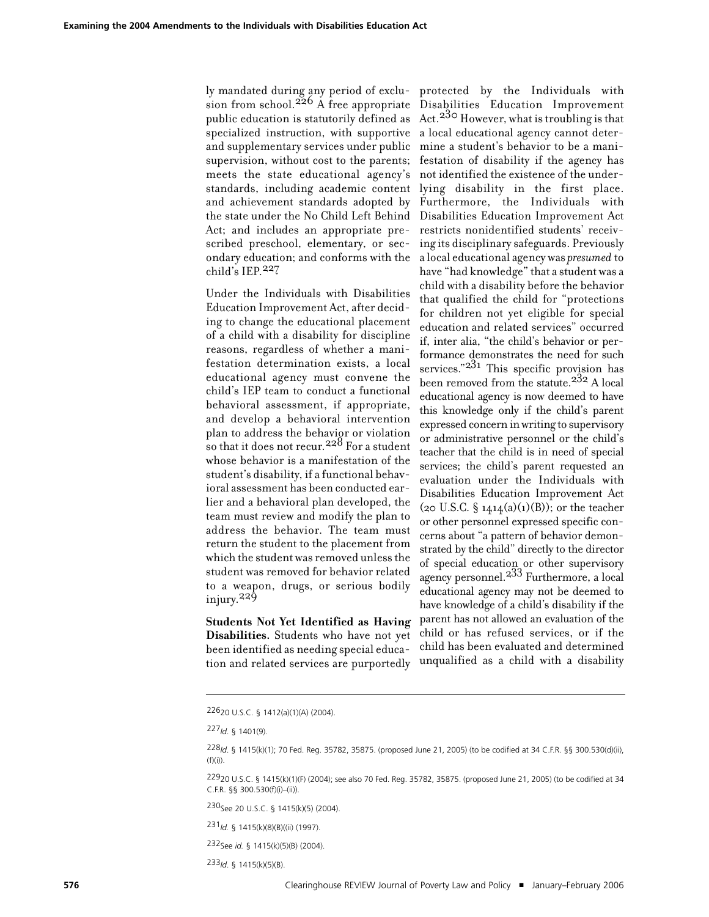ly mandated during any period of exclu-protected by the Individuals with sion from school.<sup>226</sup> A free appropriate Disabilities Education Improvement public education is statutorily defined as  $Act.^{33}$ ° However, what is troubling is that specialized instruction, with supportive a local educational agency cannot deterand supplementary services under public mine a student's behavior to be a manisupervision, without cost to the parents; festation of disability if the agency has meets the state educational agency's standards, including academic content and achievement standards adopted by the state under the No Child Left Behind Act; and includes an appropriate prescribed preschool, elementary, or secondary education; and conforms with the child's IEP. 227

Under the Individuals with Disabilities Education Improvement Act, after deciding to change the educational placement of a child with a disability for discipline reasons, regardless of whether a manifestation determination exists, a local educational agency must convene the child's IEP team to conduct a functional behavioral assessment, if appropriate, and develop a behavioral intervention plan to address the behavior or violation so that it does not recur.  $228$  For a student whose behavior is a manifestation of the student's disability, if a functional behavioral assessment has been conducted earlier and a behavioral plan developed, the team must review and modify the plan to address the behavior. The team must return the student to the placement from which the student was removed unless the student was removed for behavior related to a weapon, drugs, or serious bodily injury. 229

**Students Not Yet Identified as Having Disabilities.** Students who have not yet been identified as needing special education and related services are purportedly

not identified the existence of the underlying disability in the first place. Furthermore, the Individuals with Disabilities Education Improvement Act restricts nonidentified students' receiving its disciplinary safeguards. Previously a local educational agency was *presumed* to have "had knowledge" that a student was a child with a disability before the behavior that qualified the child for "protections for children not yet eligible for special education and related services" occurred if, inter alia, "the child's behavior or performance demonstrates the need for such services." $2^{31}$  This specific provision has been removed from the statute.  $232$  A local educational agency is now deemed to have this knowledge only if the child's parent expressed concern inwriting to supervisory or administrative personnel or the child's teacher that the child is in need of special services; the child's parent requested an evaluation under the Individuals with Disabilities Education Improvement Act  $(20 \text{ U.S.C. } § 14.14(a)(1)(B))$ ; or the teacher or other personnel expressed specific concerns about "a pattern of behavior demonstrated by the child" directly to the director of special education or other supervisory agency personnel.<sup>233</sup> Furthermore, a local educational agency may not be deemed to have knowledge of a child's disability if the parent has not allowed an evaluation of the child or has refused services, or if the child has been evaluated and determined unqualified as a child with a disability

230See 20 U.S.C. § 1415(k)(5) (2004).

233*Id*. § 1415(k)(5)(B).

<sup>22620</sup> U.S.C. § 1412(a)(1)(A) (2004).

<sup>227</sup>*Id*. § 1401(9).

<sup>228</sup>*Id*. § 1415(k)(1); 70 Fed. Reg. 35782, 35875. (proposed June 21, 2005) (to be codified at 34 C.F.R. §§ 300.530(d)(ii),  $(f)(i))$ .

<sup>22920</sup> U.S.C. § 1415(k)(1)(F) (2004); see also 70 Fed. Reg. 35782, 35875. (proposed June 21, 2005) (to be codified at 34 C.F.R. §§ 300.530(f)(i)–(ii)).

<sup>231</sup>*Id.* § 1415(k)(8)(B)((ii) (1997).

<sup>232</sup>See *id.* § 1415(k)(5)(B) (2004).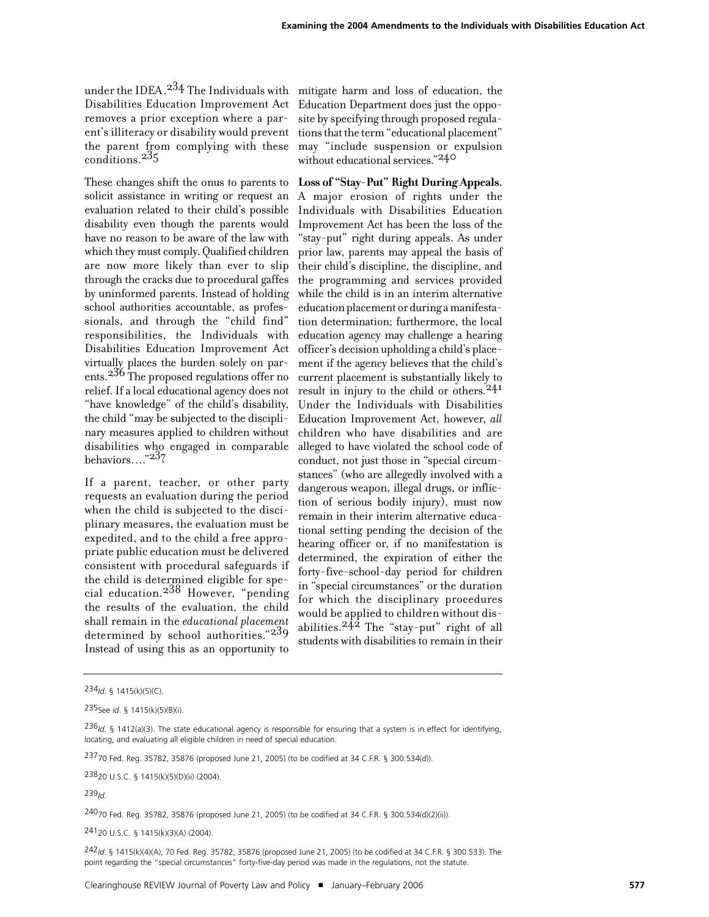under the IDEA.<sup>23</sup>4 The Individuals with mitigate harm and loss of education, the removes a prior exception where a parthe parent from complying with these conditions.235

These changes shift the onus to parents to solicit assistance in writing or request an evaluation related to their child's possible disability even though the parents would have no reason to be aware of the law with which they must comply. Qualified children are now more likely than ever to slip through the cracks due to procedural gaffes by uninformed parents. Instead of holding school authorities accountable, as professionals, and through the "child find" responsibilities, the Individuals with Disabilities Education Improvement Act virtually places the burden solely on parents. 236 The proposed regulations offer no relief.If a local educational agency does not "have knowledge" of the child's disability, the child "may be subjected to the disciplinary measures applied to children without disabilities who engaged in comparable behaviors…."237

If a parent, teacher, or other party requests an evaluation during the period when the child is subjected to the disciplinary measures, the evaluation must be expedited, and to the child a free appropriate public education must be delivered consistent with procedural safeguards if the child is determined eligible for special education.<sup>238</sup> However, "pending" the results of the evaluation, the child shall remain in the *educational placement* determined by school authorities."239 Instead of using this as an opportunity to

Disabilities Education Improvement Act Education Department does just the oppoent's illiteracy or disability would prevent tions that the term "educational placement" site by specifying through proposed regulamay "include suspension or expulsion without educational services."240

> **Loss of "Stay-Put" Right During Appeals.** A major erosion of rights under the Individuals with Disabilities Education Improvement Act has been the loss of the "stay-put" right during appeals. As under prior law, parents may appeal the basis of their child's discipline, the discipline, and the programming and services provided while the child is in an interim alternative education placement or during a manifestation determination; furthermore, the local education agency may challenge a hearing officer's decision upholding a child's placement if the agency believes that the child's current placement is substantially likely to result in injury to the child or others. 241 Under the Individuals with Disabilities Education Improvement Act, however, *all* children who have disabilities and are alleged to have violated the school code of conduct, not just those in "special circumstances" (who are allegedly involved with a dangerous weapon, illegal drugs, or infliction of serious bodily injury), must now remain in their interim alternative educational setting pending the decision of the hearing officer or, if no manifestation is determined, the expiration of either the forty-five-school-day period for children in "special circumstances" or the duration for which the disciplinary procedures would be applied to children without disabilities.242 The "stay-put" right of all students with disabilities to remain in their

23820 U.S.C. § 1415(k)(5)(D)(ii) (2004).

24070 Fed. Reg. 35782, 35876 (proposed June 21, 2005) (to be codified at 34 C.F.R. § 300.534(d)(2)(ii)).

24120 U.S.C. § 1415(k)(3)(A) (2004).

242*Id*. § 1415(k)(4)(A); 70 Fed. Reg. 35782, 35876 (proposed June 21, 2005) (to be codified at 34 C.F.R. § 300.533). The point regarding the "special circumstances" forty-five-day period was made in the regulations, not the statute.

<sup>234</sup>*Id*. § 1415(k)(5)(C).

<sup>235</sup>See *id*. § 1415(k)(5)(B)(i).

<sup>236</sup>*Id*. § 1412(a)(3). The state educational agency is responsible for ensuring that a system is in effect for identifying, locating, and evaluating all eligible children in need of special education.

<sup>23770</sup> Fed. Reg. 35782, 35876 (proposed June 21, 2005) (to be codified at 34 C.F.R. § 300.534(d)).

<sup>239</sup>*Id.*